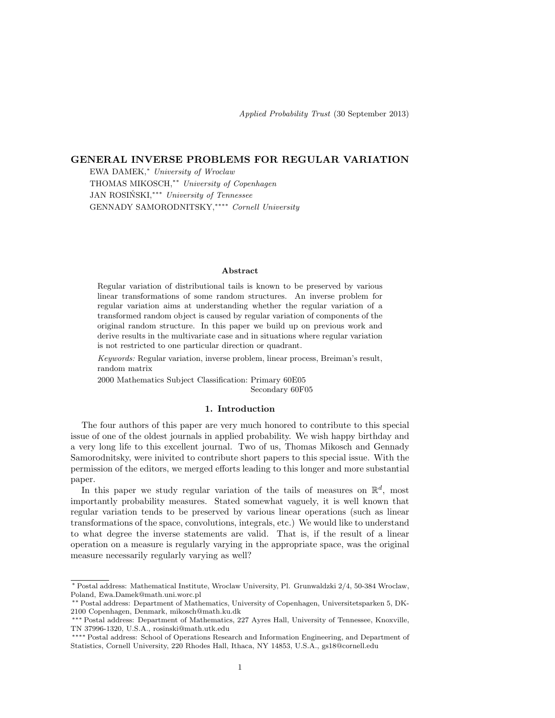# GENERAL INVERSE PROBLEMS FOR REGULAR VARIATION

EWA DAMEK,<sup>∗</sup> University of Wroclaw THOMAS MIKOSCH,∗∗ University of Copenhagen JAN ROSIŃSKI, \*\*\* University of Tennessee GENNADY SAMORODNITSKY,∗∗∗∗ Cornell University

### Abstract

Regular variation of distributional tails is known to be preserved by various linear transformations of some random structures. An inverse problem for regular variation aims at understanding whether the regular variation of a transformed random object is caused by regular variation of components of the original random structure. In this paper we build up on previous work and derive results in the multivariate case and in situations where regular variation is not restricted to one particular direction or quadrant.

Keywords: Regular variation, inverse problem, linear process, Breiman's result, random matrix

2000 Mathematics Subject Classification: Primary 60E05 Secondary 60F05

### 1. Introduction

The four authors of this paper are very much honored to contribute to this special issue of one of the oldest journals in applied probability. We wish happy birthday and a very long life to this excellent journal. Two of us, Thomas Mikosch and Gennady Samorodnitsky, were inivited to contribute short papers to this special issue. With the permission of the editors, we merged efforts leading to this longer and more substantial paper.

In this paper we study regular variation of the tails of measures on  $\mathbb{R}^d$ , most importantly probability measures. Stated somewhat vaguely, it is well known that regular variation tends to be preserved by various linear operations (such as linear transformations of the space, convolutions, integrals, etc.) We would like to understand to what degree the inverse statements are valid. That is, if the result of a linear operation on a measure is regularly varying in the appropriate space, was the original measure necessarily regularly varying as well?

<sup>∗</sup> Postal address: Mathematical Institute, Wroclaw University, Pl. Grunwaldzki 2/4, 50-384 Wroclaw, Poland, Ewa.Damek@math.uni.worc.pl

<sup>∗∗</sup> Postal address: Department of Mathematics, University of Copenhagen, Universitetsparken 5, DK-2100 Copenhagen, Denmark, mikosch@math.ku.dk

<sup>∗∗∗</sup> Postal address: Department of Mathematics, 227 Ayres Hall, University of Tennessee, Knoxville, TN 37996-1320, U.S.A., rosinski@math.utk.edu

<sup>∗∗∗∗</sup> Postal address: School of Operations Research and Information Engineering, and Department of Statistics, Cornell University, 220 Rhodes Hall, Ithaca, NY 14853, U.S.A., gs18@cornell.edu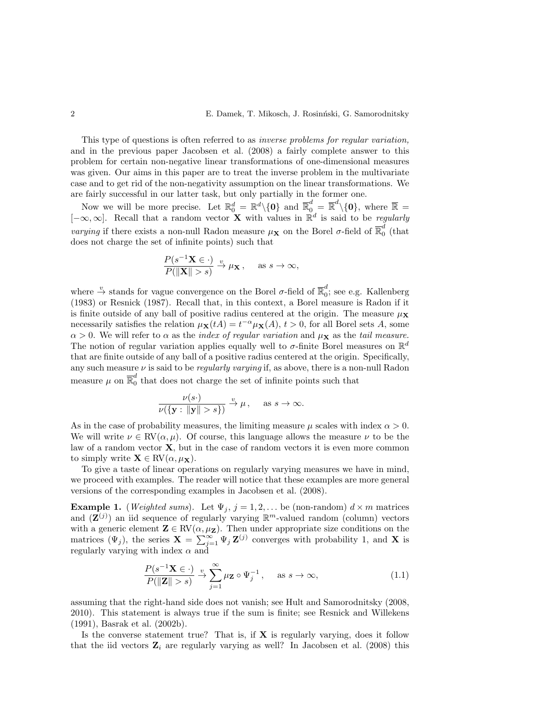This type of questions is often referred to as *inverse problems for regular variation*, and in the previous paper Jacobsen et al. (2008) a fairly complete answer to this problem for certain non-negative linear transformations of one-dimensional measures was given. Our aims in this paper are to treat the inverse problem in the multivariate case and to get rid of the non-negativity assumption on the linear transformations. We are fairly successful in our latter task, but only partially in the former one.

Now we will be more precise. Let  $\mathbb{R}_0^d = \mathbb{R}^d \setminus \{0\}$  and  $\overline{\mathbb{R}}_0^d = \overline{\mathbb{R}}^d \setminus \{0\}$ , where  $\overline{\mathbb{R}} =$  $[-\infty, \infty]$ . Recall that a random vector **X** with values in  $\mathbb{R}^d$  is said to be *regularly varying* if there exists a non-null Radon measure  $\mu_X$  on the Borel  $\sigma$ -field of  $\overline{\mathbb{R}}_0^d$  $\int_{0}^{a}$  (that does not charge the set of infinite points) such that

$$
\frac{P(s^{-1}\mathbf{X}\in\cdot)}{P(\|\mathbf{X}\|>s)}\xrightarrow{v}\mu_{\mathbf{X}},\quad\text{ as }s\to\infty,
$$

where  $\stackrel{v}{\to}$  stands for vague convergence on the Borel  $\sigma$ -field of  $\overline{\mathbb{R}}_0^d$  $_{0}^{\circ}$ ; see e.g. Kallenberg (1983) or Resnick (1987). Recall that, in this context, a Borel measure is Radon if it is finite outside of any ball of positive radius centered at the origin. The measure  $\mu_{\mathbf{X}}$ necessarily satisfies the relation  $\mu_{\mathbf{X}}(tA) = t^{-\alpha} \mu_{\mathbf{X}}(A), t > 0$ , for all Borel sets A, some  $\alpha > 0$ . We will refer to  $\alpha$  as the *index of regular variation* and  $\mu_X$  as the *tail measure*. The notion of regular variation applies equally well to  $\sigma$ -finite Borel measures on  $\mathbb{R}^d$ that are finite outside of any ball of a positive radius centered at the origin. Specifically, any such measure  $\nu$  is said to be *regularly varying* if, as above, there is a non-null Radon measure  $\mu$  on  $\overline{\mathbb{R}}_0^d$  $\int_{0}^{\alpha}$  that does not charge the set of infinite points such that

$$
\frac{\nu(s\cdot)}{\nu(\{\mathbf{y}:\|\mathbf{y}\|>s\})} \xrightarrow{v} \mu, \quad \text{as } s \to \infty.
$$

As in the case of probability measures, the limiting measure  $\mu$  scales with index  $\alpha > 0$ . We will write  $\nu \in RV(\alpha, \mu)$ . Of course, this language allows the measure  $\nu$  to be the law of a random vector  $X$ , but in the case of random vectors it is even more common to simply write  $\mathbf{X} \in RV(\alpha, \mu_{\mathbf{X}}).$ 

To give a taste of linear operations on regularly varying measures we have in mind, we proceed with examples. The reader will notice that these examples are more general versions of the corresponding examples in Jacobsen et al. (2008).

**Example 1.** (*Weighted sums*). Let  $\Psi_j$ ,  $j = 1, 2, \ldots$  be (non-random)  $d \times m$  matrices and  $(\mathbf{Z}^{(j)})$  an iid sequence of regularly varying  $\mathbb{R}^m$ -valued random (column) vectors with a generic element  $\mathbf{Z} \in \text{RV}(\alpha, \mu_{\mathbf{Z}})$ . Then under appropriate size conditions on the matrices  $(\Psi_j)$ , the series  $\mathbf{X} = \sum_{j=1}^{\infty} \Psi_j \mathbf{Z}^{(j)}$  converges with probability 1, and X is regularly varying with index  $\alpha$  and

$$
\frac{P(s^{-1}\mathbf{X}\in\cdot)}{P(\|\mathbf{Z}\|>s)}\xrightarrow{v}\sum_{j=1}^{\infty}\mu_{\mathbf{Z}}\circ\Psi_j^{-1},\quad\text{as }s\to\infty,
$$
\n(1.1)

assuming that the right-hand side does not vanish; see Hult and Samorodnitsky (2008, 2010). This statement is always true if the sum is finite; see Resnick and Willekens (1991), Basrak et al. (2002b).

Is the converse statement true? That is, if  $X$  is regularly varying, does it follow that the iid vectors  $\mathbf{Z}_i$  are regularly varying as well? In Jacobsen et al. (2008) this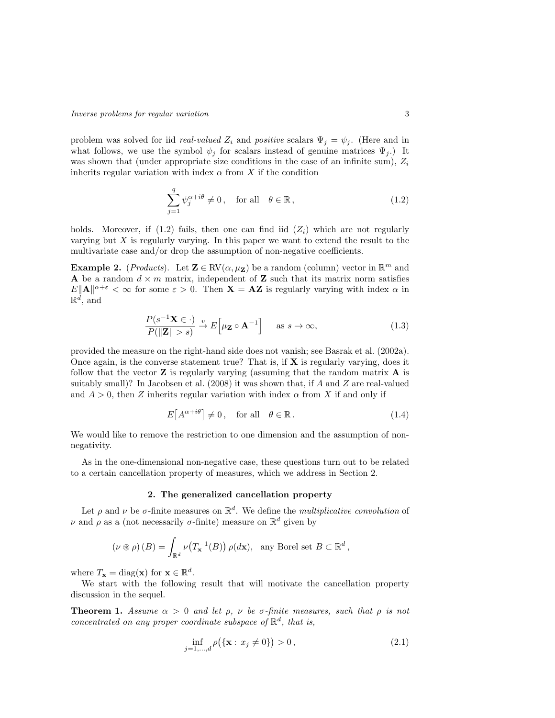problem was solved for iid *real-valued*  $Z_i$  and *positive* scalars  $\Psi_j = \psi_j$ . (Here and in what follows, we use the symbol  $\psi_j$  for scalars instead of genuine matrices  $\Psi_j$ .) It was shown that (under appropriate size conditions in the case of an infinite sum),  $Z_i$ inherits regular variation with index  $\alpha$  from X if the condition

$$
\sum_{j=1}^{q} \psi_j^{\alpha+i\theta} \neq 0, \quad \text{for all} \quad \theta \in \mathbb{R},
$$
\n(1.2)

holds. Moreover, if  $(1.2)$  fails, then one can find iid  $(Z<sub>i</sub>)$  which are not regularly varying but  $X$  is regularly varying. In this paper we want to extend the result to the multivariate case and/or drop the assumption of non-negative coefficients.

**Example 2.** (*Products*). Let  $\mathbf{Z} \in \text{RV}(\alpha, \mu_{\mathbf{Z}})$  be a random (column) vector in  $\mathbb{R}^m$  and A be a random  $d \times m$  matrix, independent of Z such that its matrix norm satisfies  $E\|\mathbf{A}\|^{\alpha+\varepsilon} < \infty$  for some  $\varepsilon > 0$ . Then  $\mathbf{X} = \mathbf{A}\mathbf{Z}$  is regularly varying with index  $\alpha$  in  $\mathbb{R}^d$ , and

$$
\frac{P(s^{-1}\mathbf{X}\in\cdot)}{P(\|\mathbf{Z}\|>s)} \xrightarrow{v} E\left[\mu_{\mathbf{Z}}\circ\mathbf{A}^{-1}\right] \quad \text{as } s \to \infty,
$$
\n(1.3)

provided the measure on the right-hand side does not vanish; see Basrak et al. (2002a). Once again, is the converse statement true? That is, if  $X$  is regularly varying, does it follow that the vector  $\mathbf Z$  is regularly varying (assuming that the random matrix  $\mathbf A$  is suitably small)? In Jacobsen et al. (2008) it was shown that, if A and Z are real-valued and  $A > 0$ , then Z inherits regular variation with index  $\alpha$  from X if and only if

$$
E[A^{\alpha + i\theta}] \neq 0, \quad \text{for all} \quad \theta \in \mathbb{R}.
$$
 (1.4)

We would like to remove the restriction to one dimension and the assumption of nonnegativity.

As in the one-dimensional non-negative case, these questions turn out to be related to a certain cancellation property of measures, which we address in Section 2.

#### 2. The generalized cancellation property

Let  $\rho$  and  $\nu$  be  $\sigma$ -finite measures on  $\mathbb{R}^d$ . We define the *multiplicative convolution* of  $\nu$  and  $\rho$  as a (not necessarily σ-finite) measure on  $\mathbb{R}^d$  given by

$$
(\nu \circledast \rho)(B) = \int_{\mathbb{R}^d} \nu(T_{\mathbf{x}}^{-1}(B)) \, \rho(d\mathbf{x}), \text{ any Borel set } B \subset \mathbb{R}^d,
$$

where  $T_{\mathbf{x}} = \text{diag}(\mathbf{x})$  for  $\mathbf{x} \in \mathbb{R}^d$ .

We start with the following result that will motivate the cancellation property discussion in the sequel.

**Theorem 1.** Assume  $\alpha > 0$  and let  $\rho$ ,  $\nu$  be  $\sigma$ -finite measures, such that  $\rho$  is not concentrated on any proper coordinate subspace of  $\mathbb{R}^d$ , that is,

$$
\inf_{j=1,\dots,d} \rho(\{\mathbf{x} : x_j \neq 0\}) > 0, \tag{2.1}
$$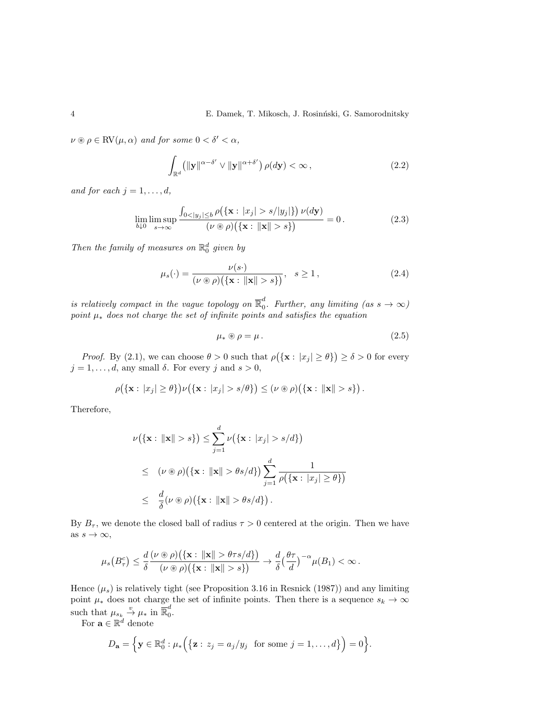$\nu \circledast \rho \in \text{RV}(\mu, \alpha)$  and for some  $0 < \delta' < \alpha$ ,

$$
\int_{\mathbb{R}^d} \left( \| \mathbf{y} \|^{\alpha - \delta'} \vee \| \mathbf{y} \|^{\alpha + \delta'} \right) \rho(d\mathbf{y}) < \infty \,, \tag{2.2}
$$

and for each  $j = 1, \ldots, d$ ,

$$
\lim_{b \downarrow 0} \limsup_{s \to \infty} \frac{\int_{0 < |y_j| \le b} \rho(\{\mathbf{x} : |x_j| > s/|y_j|\}) \nu(d\mathbf{y})}{(\nu \circledast \rho)(\{\mathbf{x} : ||\mathbf{x}|| > s\})} = 0. \tag{2.3}
$$

Then the family of measures on  $\mathbb{R}^d_0$  given by

$$
\mu_s(\cdot) = \frac{\nu(s\cdot)}{(\nu \circledast \rho)\big(\{\mathbf{x} : \|\mathbf{x}\| > s\}\big)}, \quad s \ge 1,
$$
\n(2.4)

is relatively compact in the vague topology on  $\overline{\mathbb{R}}_0^d$  $_{0}^{a}$ . Further, any limiting (as  $s \rightarrow \infty$ ) point  $\mu_*$  does not charge the set of infinite points and satisfies the equation

$$
\mu_* \circledast \rho = \mu. \tag{2.5}
$$

*Proof.* By (2.1), we can choose  $\theta > 0$  such that  $\rho(\{\mathbf{x}: |x_j| \geq \theta\}) \geq \delta > 0$  for every  $j = 1, \ldots, d$ , any small  $\delta$ . For every j and  $s > 0$ ,

$$
\rho(\{\mathbf{x}: |x_j| \geq \theta\})\nu(\{\mathbf{x}: |x_j| > s/\theta\}) \leq (\nu \circledast \rho)(\{\mathbf{x}: ||\mathbf{x}|| > s\}).
$$

Therefore,

$$
\nu(\{\mathbf{x}: \|\mathbf{x}\| > s\}) \le \sum_{j=1}^{d} \nu(\{\mathbf{x}: |x_j| > s/d\})
$$
  
\n
$$
\le (\nu \circledast \rho)(\{\mathbf{x}: \|\mathbf{x}\| > \theta s/d\}) \sum_{j=1}^{d} \frac{1}{\rho(\{\mathbf{x}: |x_j| \ge \theta\})}
$$
  
\n
$$
\le \frac{d}{\delta}(\nu \circledast \rho)(\{\mathbf{x}: \|\mathbf{x}\| > \theta s/d\}).
$$

By  $B_{\tau}$ , we denote the closed ball of radius  $\tau > 0$  centered at the origin. Then we have as  $s \to \infty$ ,

$$
\mu_s\big(B^c_\tau\big)\leq \frac{d}{\delta}\frac{(\nu\circledast\rho)\big(\{\mathbf{x}:\, \|\mathbf{x}\|>\theta\tau s/d\}\big)}{(\nu\circledast\rho)\big(\{\mathbf{x}:\, \|\mathbf{x}\|>s\}\big)}\rightarrow \frac{d}{\delta}\big(\frac{\theta\tau}{d}\big)^{-\alpha}\mu(B_1)<\infty\,.
$$

Hence  $(\mu_s)$  is relatively tight (see Proposition 3.16 in Resnick (1987)) and any limiting point  $\mu_*$  does not charge the set of infinite points. Then there is a sequence  $s_k \to \infty$ such that  $\mu_{s_k} \stackrel{v}{\rightarrow} \mu_*$  in  $\overline{\mathbb{R}}_0^d$  $\frac{u}{0}$ .

For  $\mathbf{a} \in \mathbb{R}^d$  denote

$$
D_{\mathbf{a}} = \Big\{ \mathbf{y} \in \mathbb{R}_0^d : \mu_* \Big( \big\{ \mathbf{z} : z_j = a_j / y_j \text{ for some } j = 1, \dots, d \big\} \Big) = 0 \Big\}.
$$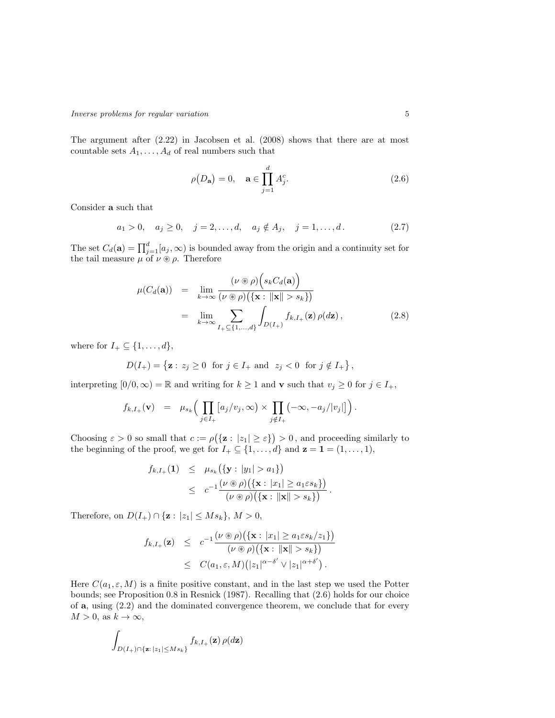The argument after (2.22) in Jacobsen et al. (2008) shows that there are at most countable sets  $A_1, \ldots, A_d$  of real numbers such that

$$
\rho(D_{\mathbf{a}}) = 0, \quad \mathbf{a} \in \prod_{j=1}^{d} A_j^c.
$$
\n(2.6)

Consider a such that

$$
a_1 > 0
$$
,  $a_j \ge 0$ ,  $j = 2,..., d$ ,  $a_j \notin A_j$ ,  $j = 1,..., d$ . (2.7)

The set  $C_d(\mathbf{a}) = \prod_{j=1}^d [a_j, \infty)$  is bounded away from the origin and a continuity set for the tail measure  $\mu$  of  $\nu \circ \rho$ . Therefore

$$
\mu(C_d(\mathbf{a})) = \lim_{k \to \infty} \frac{(\nu \circledast \rho) \Big(s_k C_d(\mathbf{a})\Big)}{(\nu \circledast \rho) \Big(\{\mathbf{x} : \|\mathbf{x}\| > s_k\}\Big)}
$$
  
= 
$$
\lim_{k \to \infty} \sum_{I_+ \subseteq \{1, \dots, d\}} \int_{D(I_+)} f_{k, I_+}(\mathbf{z}) \rho(d\mathbf{z}),
$$
 (2.8)

where for  $I_+ \subseteq \{1, \ldots, d\},\$ 

$$
D(I_+) = \{ \mathbf{z} : z_j \ge 0 \text{ for } j \in I_+ \text{ and } z_j < 0 \text{ for } j \notin I_+ \},
$$

interpreting  $[0/0, \infty) = \mathbb{R}$  and writing for  $k \ge 1$  and v such that  $v_j \ge 0$  for  $j \in I_+$ ,

$$
f_{k,I_+}(\mathbf{v}) = \mu_{s_k}\Big(\prod_{j\in I_+} [a_j/v_j,\infty) \times \prod_{j\notin I_+} (-\infty,-a_j/|v_j|] \Big).
$$

Choosing  $\varepsilon > 0$  so small that  $c := \rho(\{z : |z_1| \geq \varepsilon\}) > 0$ , and proceeding similarly to the beginning of the proof, we get for  $I_+ \subseteq \{1, \ldots, d\}$  and  $\mathbf{z} = \mathbf{1} = (1, \ldots, 1)$ ,

$$
f_{k,I_{+}}(\mathbf{1}) \leq \mu_{s_{k}}(\{\mathbf{y}: |y_{1}| > a_{1}\})
$$
  
 
$$
\leq c^{-1} \frac{(\nu \circledast \rho)(\{\mathbf{x}: |x_{1}| \geq a_{1} \varepsilon s_{k}\})}{(\nu \circledast \rho)(\{\mathbf{x}: ||\mathbf{x}|| > s_{k}\})}.
$$

Therefore, on  $D(I_+) \cap \{z : |z_1| \leq M s_k\}, M > 0$ ,

$$
f_{k,I_{+}}(\mathbf{z}) \leq c^{-1} \frac{(\nu \circledast \rho)(\{\mathbf{x}: |x_{1}| \geq a_{1} \varepsilon s_{k}/z_{1}\})}{(\nu \circledast \rho)(\{\mathbf{x}: ||\mathbf{x}|| > s_{k}\})}
$$
  
 
$$
\leq C(a_{1}, \varepsilon, M)(|z_{1}|^{\alpha-\delta'} \vee |z_{1}|^{\alpha+\delta'}).
$$

Here  $C(a_1, \varepsilon, M)$  is a finite positive constant, and in the last step we used the Potter bounds; see Proposition 0.8 in Resnick (1987). Recalling that (2.6) holds for our choice of a, using (2.2) and the dominated convergence theorem, we conclude that for every  $M > 0$ , as  $k \to \infty$ ,

$$
\int_{D(I_+) \cap \{\mathbf{z}: |z_1| \leq M s_k\}} f_{k,I_+}(\mathbf{z}) \, \rho(d\mathbf{z})
$$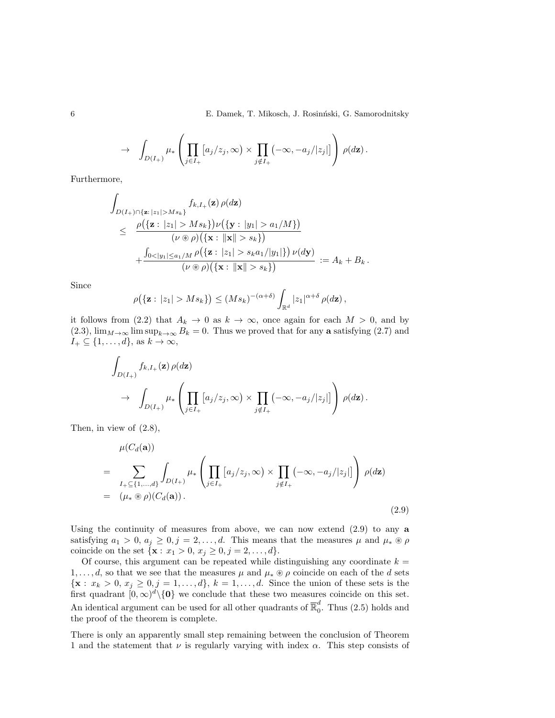6 E. Damek, T. Mikosch, J. Rosin´nski, G. Samorodnitsky

$$
\to \int_{D(I_+)} \mu_* \left( \prod_{j \in I_+} [a_j/z_j, \infty) \times \prod_{j \notin I_+} (-\infty, -a_j/|z_j|] \right) \rho(d\mathbf{z}).
$$

Furthermore,

$$
\int_{D(I_+) \cap \{ \mathbf{z}: |z_1| > M s_k \}} f_{k, I_+}(\mathbf{z}) \rho(d\mathbf{z})
$$
\n
$$
\leq \frac{\rho(\{ \mathbf{z}: |z_1| > M s_k \}) \nu(\{ \mathbf{y}: |y_1| > a_1/M \})}{(\nu \circledast \rho)(\{ \mathbf{x}: ||\mathbf{x}|| > s_k \})}
$$
\n
$$
+ \frac{\int_{0 < |y_1| \leq a_1/M} \rho(\{ \mathbf{z}: |z_1| > s_k a_1/|y_1| \}) \nu(d\mathbf{y})}{(\nu \circledast \rho)(\{ \mathbf{x}: ||\mathbf{x}|| > s_k \})} := A_k + B_k.
$$

Since

$$
\rho\big(\{\mathbf{z}: |z_1|>Ms_k\}\big)\leq (Ms_k)^{-(\alpha+\delta)}\int_{\mathbb{R}^d}|z_1|^{\alpha+\delta}\,\rho(d\mathbf{z}),
$$

it follows from (2.2) that  $A_k \to 0$  as  $k \to \infty$ , once again for each  $M > 0$ , and by (2.3),  $\lim_{M\to\infty} \limsup_{k\to\infty} B_k = 0$ . Thus we proved that for any a satisfying (2.7) and  $I_+ \subseteq \{1, \ldots, d\}, \text{ as } k \to \infty,$ 

$$
\int_{D(I_+)} f_{k,I_+}(\mathbf{z}) \, \rho(d\mathbf{z})
$$
\n
$$
\to \int_{D(I_+)} \mu_* \left( \prod_{j \in I_+} [a_j/z_j, \infty) \times \prod_{j \notin I_+} (-\infty, -a_j/|z_j|] \right) \, \rho(d\mathbf{z}).
$$

Then, in view of (2.8),

$$
\mu(C_d(\mathbf{a}))
$$
\n
$$
= \sum_{I_+\subseteq \{1,\ldots,d\}} \int_{D(I_+)} \mu_* \left( \prod_{j\in I_+} [a_j/z_j, \infty) \times \prod_{j\notin I_+} (-\infty, -a_j/|z_j|] \right) \rho(d\mathbf{z})
$$
\n
$$
= (\mu_* \otimes \rho)(C_d(\mathbf{a})). \tag{2.9}
$$

Using the continuity of measures from above, we can now extend  $(2.9)$  to any a satisfying  $a_1 > 0$ ,  $a_j \geq 0$ ,  $j = 2, ..., d$ . This means that the measures  $\mu$  and  $\mu_* \circledast \rho$ coincide on the set  $\{x : x_1 > 0, x_j \ge 0, j = 2, ..., d\}.$ 

Of course, this argument can be repeated while distinguishing any coordinate  $k =$ 1, ..., *d*, so that we see that the measures  $\mu$  and  $\mu_* \otimes \rho$  coincide on each of the *d* sets  ${x : x_k > 0, x_j \ge 0, j = 1, ..., d}, k = 1, ..., d$ . Since the union of these sets is the first quadrant  $[0, \infty)^d \setminus \{0\}$  we conclude that these two measures coincide on this set. An identical argument can be used for all other quadrants of  $\overline{\mathbb{R}}_0^d$  $_{0}^{a}$ . Thus  $(2.5)$  holds and the proof of the theorem is complete.

There is only an apparently small step remaining between the conclusion of Theorem 1 and the statement that  $\nu$  is regularly varying with index  $\alpha$ . This step consists of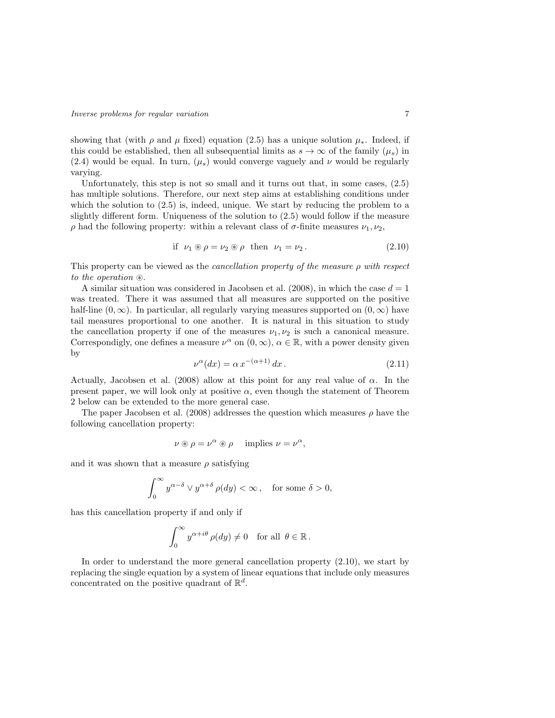showing that (with  $\rho$  and  $\mu$  fixed) equation (2.5) has a unique solution  $\mu_*$ . Indeed, if this could be established, then all subsequential limits as  $s \to \infty$  of the family  $(\mu_s)$  in (2.4) would be equal. In turn,  $(\mu_s)$  would converge vaguely and  $\nu$  would be regularly varying.

Unfortunately, this step is not so small and it turns out that, in some cases, (2.5) has multiple solutions. Therefore, our next step aims at establishing conditions under which the solution to (2.5) is, indeed, unique. We start by reducing the problem to a slightly different form. Uniqueness of the solution to (2.5) would follow if the measure  $ρ$  had the following property: within a relevant class of  $σ$ -finite measures  $ν_1, ν_2$ ,

$$
\text{if } \nu_1 \circledast \rho = \nu_2 \circledast \rho \text{ then } \nu_1 = \nu_2. \tag{2.10}
$$

This property can be viewed as the *cancellation property of the measure*  $\rho$  with respect to the operation  $\mathcal{R}$ .

A similar situation was considered in Jacobsen et al. (2008), in which the case  $d = 1$ was treated. There it was assumed that all measures are supported on the positive half-line  $(0, \infty)$ . In particular, all regularly varying measures supported on  $(0, \infty)$  have tail measures proportional to one another. It is natural in this situation to study the cancellation property if one of the measures  $\nu_1, \nu_2$  is such a canonical measure. Correspondigly, one defines a measure  $\nu^{\alpha}$  on  $(0, \infty)$ ,  $\alpha \in \mathbb{R}$ , with a power density given by

$$
\nu^{\alpha}(dx) = \alpha x^{-(\alpha+1)} dx.
$$
\n(2.11)

Actually, Jacobsen et al. (2008) allow at this point for any real value of  $\alpha$ . In the present paper, we will look only at positive  $\alpha$ , even though the statement of Theorem 2 below can be extended to the more general case.

The paper Jacobsen et al. (2008) addresses the question which measures  $\rho$  have the following cancellation property:

$$
\nu \circledast \rho = \nu^{\alpha} \circledast \rho \quad \text{implies } \nu = \nu^{\alpha},
$$

and it was shown that a measure  $\rho$  satisfying

$$
\int_0^\infty y^{\alpha-\delta} \vee y^{\alpha+\delta}\,\rho(dy) < \infty\,, \quad \text{for some }\delta > 0,
$$

has this cancellation property if and only if

$$
\int_0^\infty y^{\alpha + i\theta} \, \rho(dy) \neq 0 \quad \text{for all} \ \theta \in \mathbb{R} \, .
$$

In order to understand the more general cancellation property (2.10), we start by replacing the single equation by a system of linear equations that include only measures concentrated on the positive quadrant of  $\mathbb{R}^d$ .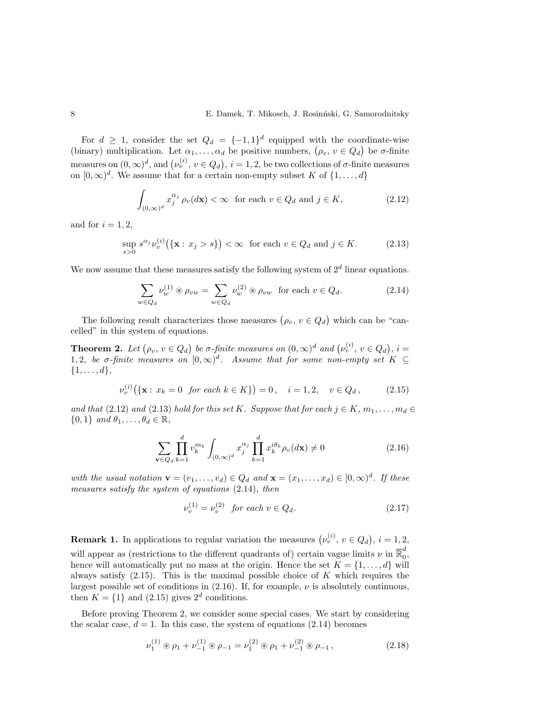For  $d \geq 1$ , consider the set  $Q_d = \{-1,1\}^d$  equipped with the coordinate-wise (binary) multiplication. Let  $\alpha_1, \ldots, \alpha_d$  be positive numbers,  $(\rho_v, v \in Q_d)$  be  $\sigma$ -finite measures on  $(0, \infty)^d$ , and  $(\nu_v^{(i)}, v \in Q_d)$ ,  $i = 1, 2$ , be two collections of  $\sigma$ -finite measures on  $[0,\infty)^d$ . We assume that for a certain non-empty subset K of  $\{1,\ldots,d\}$ 

$$
\int_{(0,\infty)^d} x_j^{\alpha_j} \rho_v(d\mathbf{x}) < \infty \quad \text{for each } v \in Q_d \text{ and } j \in K,\tag{2.12}
$$

and for  $i = 1, 2$ ,

$$
\sup_{s>0} s^{\alpha_j} \nu_v^{(i)}\big(\{\mathbf{x}: x_j > s\}\big) < \infty \quad \text{for each } v \in Q_d \text{ and } j \in K. \tag{2.13}
$$

We now assume that these measures satisfy the following system of  $2<sup>d</sup>$  linear equations.

$$
\sum_{w \in Q_d} \nu_w^{(1)} \circledast \rho_{vw} = \sum_{w \in Q_d} \nu_w^{(2)} \circledast \rho_{vw} \text{ for each } v \in Q_d.
$$
 (2.14)

The following result characterizes those measures  $(\rho_v, v \in Q_d)$  which can be "cancelled" in this system of equations.

**Theorem 2.** Let  $(\rho_v, v \in Q_d)$  be  $\sigma$ -finite measures on  $(0, \infty)^d$  and  $(\nu_v^{(i)}, v \in Q_d)$ ,  $i =$ 1, 2, be  $\sigma$ -finite measures on  $[0,\infty)^d$ . Assume that for some non-empty set  $K \subseteq$  $\{1,\ldots,d\},\$ 

$$
\nu_v^{(i)}(\{\mathbf{x}: x_k = 0 \text{ for each } k \in K\}) = 0, \quad i = 1, 2, \quad v \in Q_d, \tag{2.15}
$$

and that (2.12) and (2.13) hold for this set K. Suppose that for each  $j \in K$ ,  $m_1, \ldots, m_d \in$  $\{0,1\}$  and  $\theta_1,\ldots,\theta_d \in \mathbb{R}$ ,

$$
\sum_{\mathbf{v}\in Q_d} \prod_{k=1}^d v_k^{m_k} \int_{(0,\infty)^d} x_j^{\alpha_j} \prod_{k=1}^d x_k^{i\theta_k} \rho_v(d\mathbf{x}) \neq 0 \tag{2.16}
$$

with the usual notation  $\mathbf{v} = (v_1, \dots, v_d) \in Q_d$  and  $\mathbf{x} = (x_1, \dots, x_d) \in [0, \infty)^d$ . If these measures satisfy the system of equations (2.14), then

$$
\nu_v^{(1)} = \nu_v^{(2)} \quad \text{for each } v \in Q_d. \tag{2.17}
$$

**Remark 1.** In applications to regular variation the measures  $(\nu_v^{(i)}, v \in Q_d), i = 1, 2,$ will appear as (restrictions to the different quadrants of) certain vague limits  $\nu$  in  $\overline{\mathbb{R}}_0^d$ u<br>0, hence will automatically put no mass at the origin. Hence the set  $K = \{1, \ldots, d\}$  will always satisfy  $(2.15)$ . This is the maximal possible choice of K which requires the largest possible set of conditions in  $(2.16)$ . If, for example,  $\nu$  is absolutely continuous, then  $K = \{1\}$  and  $(2.15)$  gives  $2^d$  conditions.

Before proving Theorem 2, we consider some special cases. We start by considering the scalar case,  $d = 1$ . In this case, the system of equations (2.14) becomes

$$
\nu_1^{(1)} \circledast \rho_1 + \nu_{-1}^{(1)} \circledast \rho_{-1} = \nu_1^{(2)} \circledast \rho_1 + \nu_{-1}^{(2)} \circledast \rho_{-1}, \qquad (2.18)
$$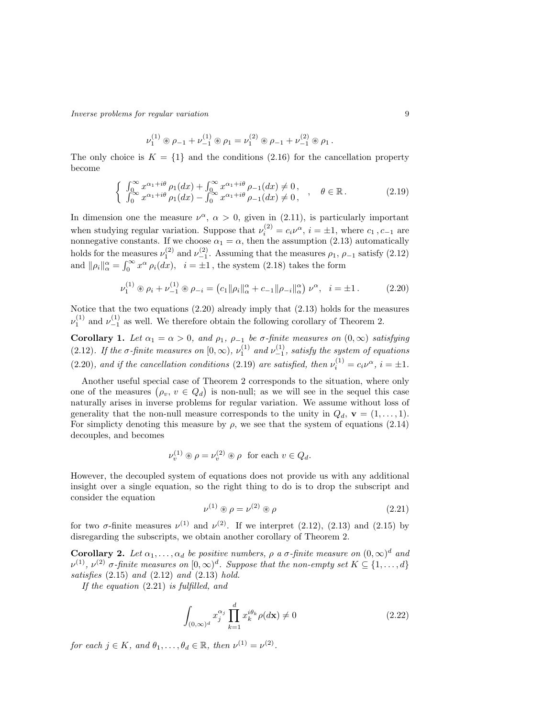Inverse problems for regular variation 9

$$
\nu_1^{(1)} \circledast \rho_{-1} + \nu_{-1}^{(1)} \circledast \rho_1 = \nu_1^{(2)} \circledast \rho_{-1} + \nu_{-1}^{(2)} \circledast \rho_1.
$$

The only choice is  $K = \{1\}$  and the conditions (2.16) for the cancellation property become

$$
\begin{cases}\n\int_0^\infty x^{\alpha_1+i\theta} \rho_1(dx) + \int_0^\infty x^{\alpha_1+i\theta} \rho_{-1}(dx) \neq 0, \\
\int_0^\infty x^{\alpha_1+i\theta} \rho_1(dx) - \int_0^\infty x^{\alpha_1+i\theta} \rho_{-1}(dx) \neq 0, \quad , \quad \theta \in \mathbb{R}.\n\end{cases} (2.19)
$$

In dimension one the measure  $\nu^{\alpha}$ ,  $\alpha > 0$ , given in (2.11), is particularly important when studying regular variation. Suppose that  $\nu_i^{(2)} = c_i \nu^{\alpha}, i = \pm 1$ , where  $c_1, c_{-1}$  are nonnegative constants. If we choose  $\alpha_1 = \alpha$ , then the assumption (2.13) automatically holds for the measures  $\nu_1^{(2)}$  and  $\nu_{-1}^{(2)}$ . Assuming that the measures  $\rho_1$ ,  $\rho_{-1}$  satisfy  $(2.12)$ and  $\|\rho_i\|_{\alpha}^{\alpha} = \int_0^{\infty} x^{\alpha} \rho_i(dx)$ ,  $i = \pm 1$ , the system (2.18) takes the form

$$
\nu_1^{(1)} \circledast \rho_i + \nu_{-1}^{(1)} \circledast \rho_{-i} = (c_1 \|\rho_i\|_{\alpha}^{\alpha} + c_{-1} \|\rho_{-i}\|_{\alpha}^{\alpha}) \nu^{\alpha}, \quad i = \pm 1. \tag{2.20}
$$

Notice that the two equations (2.20) already imply that (2.13) holds for the measures  $\nu_1^{(1)}$  and  $\nu_{-1}^{(1)}$  as well. We therefore obtain the following corollary of Theorem 2.

**Corollary 1.** Let  $\alpha_1 = \alpha > 0$ , and  $\rho_1$ ,  $\rho_{-1}$  be  $\sigma$ -finite measures on  $(0, \infty)$  satisfying (2.12). If the  $\sigma$ -finite measures on  $[0, \infty)$ ,  $\nu_1^{(1)}$  and  $\nu_{-1}^{(1)}$ , satisfy the system of equations (2.20), and if the cancellation conditions (2.19) are satisfied, then  $\nu_i^{(1)} = c_i \nu^{\alpha}, i = \pm 1$ .

Another useful special case of Theorem 2 corresponds to the situation, where only one of the measures  $(\rho_v, v \in Q_d)$  is non-null; as we will see in the sequel this case naturally arises in inverse problems for regular variation. We assume without loss of generality that the non-null measure corresponds to the unity in  $Q_d$ ,  $\mathbf{v} = (1, \ldots, 1)$ . For simplicty denoting this measure by  $\rho$ , we see that the system of equations (2.14) decouples, and becomes

$$
\nu_v^{(1)} \circledast \rho = \nu_v^{(2)} \circledast \rho \text{ for each } v \in Q_d.
$$

However, the decoupled system of equations does not provide us with any additional insight over a single equation, so the right thing to do is to drop the subscript and consider the equation

$$
\nu^{(1)} \circledast \rho = \nu^{(2)} \circledast \rho \tag{2.21}
$$

for two  $\sigma$ -finite measures  $\nu^{(1)}$  and  $\nu^{(2)}$ . If we interpret (2.12), (2.13) and (2.15) by disregarding the subscripts, we obtain another corollary of Theorem 2.

**Corollary 2.** Let  $\alpha_1, \ldots, \alpha_d$  be positive numbers,  $\rho$  a  $\sigma$ -finite measure on  $(0, \infty)^d$  and  $\nu^{(1)}$ ,  $\nu^{(2)}$   $\sigma$ -finite measures on  $[0,\infty)^d$ . Suppose that the non-empty set  $K \subseteq \{1,\ldots,d\}$ satisfies  $(2.15)$  and  $(2.12)$  and  $(2.13)$  hold.

If the equation (2.21) is fulfilled, and

$$
\int_{(0,\infty)^d} x_j^{\alpha_j} \prod_{k=1}^d x_k^{i\theta_k} \rho(d\mathbf{x}) \neq 0
$$
\n(2.22)

for each  $j \in K$ , and  $\theta_1, \ldots, \theta_d \in \mathbb{R}$ , then  $\nu^{(1)} = \nu^{(2)}$ .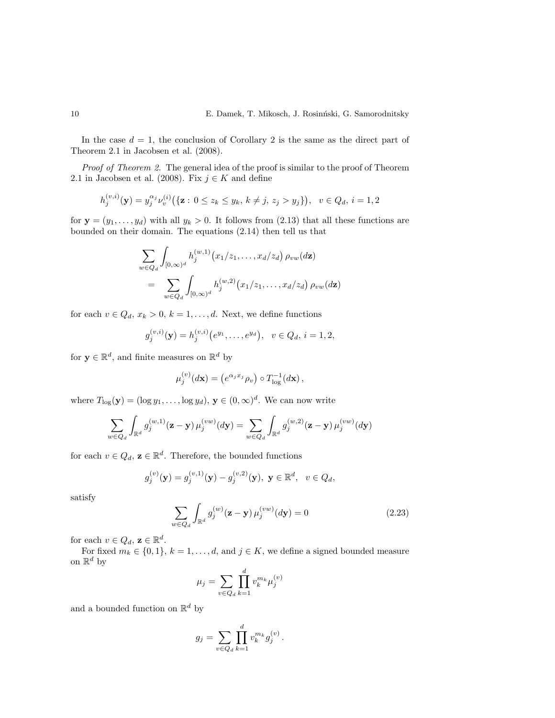In the case  $d = 1$ , the conclusion of Corollary 2 is the same as the direct part of Theorem 2.1 in Jacobsen et al. (2008).

Proof of Theorem 2. The general idea of the proof is similar to the proof of Theorem 2.1 in Jacobsen et al. (2008). Fix  $j \in K$  and define

$$
h_j^{(v,i)}(\mathbf{y}) = y_j^{\alpha_j} \nu_v^{(i)}(\{\mathbf{z}: 0 \le z_k \le y_k, k \ne j, z_j > y_j\}), \ \ v \in Q_d, \ i = 1, 2
$$

for  $y = (y_1, \ldots, y_d)$  with all  $y_k > 0$ . It follows from (2.13) that all these functions are bounded on their domain. The equations (2.14) then tell us that

$$
\sum_{w \in Q_d} \int_{[0,\infty)^d} h_j^{(w,1)}(x_1/z_1,\ldots,x_d/z_d) \, \rho_{vw}(d\mathbf{z})
$$
\n
$$
= \sum_{w \in Q_d} \int_{[0,\infty)^d} h_j^{(w,2)}(x_1/z_1,\ldots,x_d/z_d) \, \rho_{vw}(d\mathbf{z})
$$

for each  $v \in Q_d$ ,  $x_k > 0$ ,  $k = 1, ..., d$ . Next, we define functions

$$
g_j^{(v,i)}(\mathbf{y}) = h_j^{(v,i)}(e^{y_1}, \dots, e^{y_d}), \ \ v \in Q_d, \ i = 1, 2,
$$

for  $y \in \mathbb{R}^d$ , and finite measures on  $\mathbb{R}^d$  by

$$
\mu_j^{(v)}(d\mathbf{x}) = \left(e^{\alpha_j x_j} \rho_v\right) \circ T_{\text{log}}^{-1}(d\mathbf{x}),
$$

where  $T_{\text{log}}(\mathbf{y}) = (\log y_1, \dots, \log y_d), \mathbf{y} \in (0, \infty)^d$ . We can now write

$$
\sum_{w \in Q_d} \int_{\mathbb{R}^d} g_j^{(w,1)}(\mathbf{z} - \mathbf{y}) \,\mu_j^{(vw)}(d\mathbf{y}) = \sum_{w \in Q_d} \int_{\mathbb{R}^d} g_j^{(w,2)}(\mathbf{z} - \mathbf{y}) \,\mu_j^{(vw)}(d\mathbf{y})
$$

for each  $v \in Q_d$ ,  $\mathbf{z} \in \mathbb{R}^d$ . Therefore, the bounded functions

$$
g_j^{(v)}(\mathbf{y}) = g_j^{(v,1)}(\mathbf{y}) - g_j^{(v,2)}(\mathbf{y}), \mathbf{y} \in \mathbb{R}^d, v \in Q_d,
$$

satisfy

$$
\sum_{w \in Q_d} \int_{\mathbb{R}^d} g_j^{(w)}(\mathbf{z} - \mathbf{y}) \,\mu_j^{(vw)}(d\mathbf{y}) = 0 \tag{2.23}
$$

for each  $v \in Q_d$ ,  $\mathbf{z} \in \mathbb{R}^d$ .

For fixed  $m_k \in \{0, 1\}, k = 1, \ldots, d$ , and  $j \in K$ , we define a signed bounded measure on  $\mathbb{R}^d$  by

$$
\mu_j = \sum_{v \in Q_d} \prod_{k=1}^d v_k^{m_k} \mu_j^{(v)}
$$

and a bounded function on  $\mathbb{R}^d$  by

$$
g_j = \sum_{v \in Q_d} \prod_{k=1}^d v_k^{m_k} g_j^{(v)}.
$$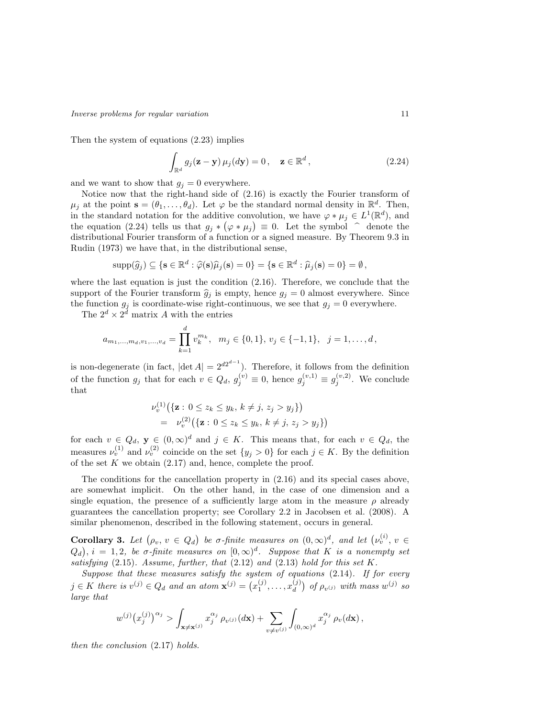Then the system of equations (2.23) implies

$$
\int_{\mathbb{R}^d} g_j(\mathbf{z} - \mathbf{y}) \mu_j(d\mathbf{y}) = 0, \quad \mathbf{z} \in \mathbb{R}^d,
$$
\n(2.24)

and we want to show that  $g_j = 0$  everywhere.

Notice now that the right-hand side of (2.16) is exactly the Fourier transform of  $\mu_j$  at the point  $\mathbf{s} = (\theta_1, \dots, \theta_d)$ . Let  $\varphi$  be the standard normal density in  $\mathbb{R}^d$ . Then, in the standard notation for the additive convolution, we have  $\varphi * \mu_j \in L^1(\mathbb{R}^d)$ , and the equation (2.24) tells us that  $g_j * (\varphi * \mu_j) \equiv 0$ . Let the symbol  $\hat{\phantom{a}}$  denote the distributional Equation transform of a function or a girand massure. By Theorem 0.3 in distributional Fourier transform of a function or a signed measure. By Theorem 9.3 in Rudin (1973) we have that, in the distributional sense,

$$
\mathrm{supp}(\widehat{g}_j) \subseteq \{ \mathbf{s} \in \mathbb{R}^d : \widehat{\varphi}(\mathbf{s})\widehat{\mu}_j(\mathbf{s}) = 0 \} = \{ \mathbf{s} \in \mathbb{R}^d : \widehat{\mu}_j(\mathbf{s}) = 0 \} = \emptyset,
$$

where the last equation is just the condition  $(2.16)$ . Therefore, we conclude that the support of the Fourier transform  $\hat{g}_j$  is empty, hence  $g_j = 0$  almost everywhere. Since the function  $g_j$  is coordinate-wise right-continuous, we see that  $g_j = 0$  everywhere.

The  $2^d \times 2^d$  matrix A with the entries

$$
a_{m_1,\ldots,m_d,v_1,\ldots,v_d} = \prod_{k=1}^d v_k^{m_k}, \quad m_j \in \{0,1\}, v_j \in \{-1,1\}, \quad j=1,\ldots,d,
$$

is non-degenerate (in fact,  $|\text{det } A| = 2^{d2^{d-1}}$ ). Therefore, it follows from the definition of the function  $g_j$  that for each  $v \in Q_d$ ,  $g_j^{(v)} \equiv 0$ , hence  $g_j^{(v,1)} \equiv g_j^{(v,2)}$ . We conclude that

$$
\nu_v^{(1)}(\{\mathbf{z}: 0 \le z_k \le y_k, k \ne j, z_j > y_j\})
$$
  
=  $\nu_v^{(2)}(\{\mathbf{z}: 0 \le z_k \le y_k, k \ne j, z_j > y_j\})$ 

for each  $v \in Q_d$ ,  $y \in (0, \infty)^d$  and  $j \in K$ . This means that, for each  $v \in Q_d$ , the measures  $\nu_v^{(1)}$  and  $\nu_v^{(2)}$  coincide on the set  $\{y_j > 0\}$  for each  $j \in K$ . By the definition of the set  $K$  we obtain  $(2.17)$  and, hence, complete the proof.

The conditions for the cancellation property in (2.16) and its special cases above, are somewhat implicit. On the other hand, in the case of one dimension and a single equation, the presence of a sufficiently large atom in the measure  $\rho$  already guarantees the cancellation property; see Corollary 2.2 in Jacobsen et al. (2008). A similar phenomenon, described in the following statement, occurs in general.

Corollary 3. Let  $(\rho_v, v \in Q_d)$  be  $\sigma$ -finite measures on  $(0, \infty)^d$ , and let  $(\nu_v^{(i)}, v \in Q_d)$  $(Q_d)$ ,  $i = 1, 2$ , be  $\sigma$ -finite measures on  $[0, \infty)^d$ . Suppose that K is a nonempty set satisfying (2.15). Assume, further, that (2.12) and (2.13) hold for this set K.

Suppose that these measures satisfy the system of equations  $(2.14)$ . If for every  $j \in K$  there is  $v^{(j)} \in Q_d$  and an atom  $\mathbf{x}^{(j)} = (x_1^{(j)}, \dots, x_d^{(j)})$  $\binom{(j)}{d}$  of  $\rho_{v^{(j)}}$  with mass  $w^{(j)}$  so large that

$$
w^{(j)}(x_j^{(j)})^{\alpha_j} > \int_{\mathbf{x}\neq \mathbf{x}^{(j)}} x_j^{\alpha_j} \rho_{v^{(j)}}(d\mathbf{x}) + \sum_{v\neq v^{(j)}} \int_{(0,\infty)^d} x_j^{\alpha_j} \rho_v(d\mathbf{x}),
$$

then the conclusion (2.17) holds.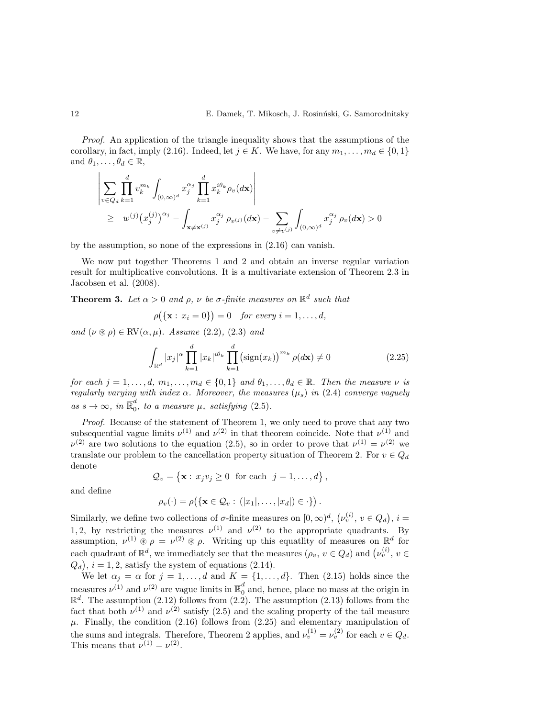Proof. An application of the triangle inequality shows that the assumptions of the corollary, in fact, imply (2.16). Indeed, let  $j \in K$ . We have, for any  $m_1, \ldots, m_d \in \{0, 1\}$ and  $\theta_1, \ldots, \theta_d \in \mathbb{R}$ ,

$$
\left| \sum_{v \in Q_d} \prod_{k=1}^d v_k^{m_k} \int_{(0,\infty)^d} x_j^{\alpha_j} \prod_{k=1}^d x_k^{i\theta_k} \rho_v(d\mathbf{x}) \right|
$$
  
\n
$$
\geq w^{(j)} (x_j^{(j)})^{\alpha_j} - \int_{\mathbf{x} \neq \mathbf{x}^{(j)}} x_j^{\alpha_j} \rho_{v^{(j)}}(d\mathbf{x}) - \sum_{v \neq v^{(j)}} \int_{(0,\infty)^d} x_j^{\alpha_j} \rho_v(d\mathbf{x}) > 0
$$

by the assumption, so none of the expressions in (2.16) can vanish.

We now put together Theorems 1 and 2 and obtain an inverse regular variation result for multiplicative convolutions. It is a multivariate extension of Theorem 2.3 in Jacobsen et al. (2008).

**Theorem 3.** Let  $\alpha > 0$  and  $\rho$ ,  $\nu$  be  $\sigma$ -finite measures on  $\mathbb{R}^d$  such that

$$
\rho(\{\mathbf{x}: x_i = 0\}) = 0 \quad \text{for every } i = 1, \dots, d,
$$

and  $(\nu \circledast \rho) \in \text{RV}(\alpha, \mu)$ . Assume (2.2), (2.3) and

$$
\int_{\mathbb{R}^d} |x_j|^\alpha \prod_{k=1}^d |x_k|^{i\theta_k} \prod_{k=1}^d (\text{sign}(x_k))^{m_k} \rho(d\mathbf{x}) \neq 0 \tag{2.25}
$$

,

for each  $j = 1, \ldots, d, m_1, \ldots, m_d \in \{0, 1\}$  and  $\theta_1, \ldots, \theta_d \in \mathbb{R}$ . Then the measure  $\nu$  is regularly varying with index  $\alpha$ . Moreover, the measures  $(\mu_s)$  in (2.4) converge vaguely as  $s \to \infty$ , in  $\overline{\mathbb{R}}_0^d$  $\int_{0}^{a}$ , to a measure  $\mu_{*}$  satisfying  $(2.5)$ .

Proof. Because of the statement of Theorem 1, we only need to prove that any two subsequential vague limits  $\nu^{(1)}$  and  $\nu^{(2)}$  in that theorem coincide. Note that  $\nu^{(1)}$  and  $\nu^{(2)}$  are two solutions to the equation (2.5), so in order to prove that  $\nu^{(1)} = \nu^{(2)}$  we translate our problem to the cancellation property situation of Theorem 2. For  $v \in Q_d$ denote

$$
\mathcal{Q}_v = \{ \mathbf{x} : x_j v_j \ge 0 \text{ for each } j = 1, ..., d \}
$$

and define

$$
\rho_v(\cdot) = \rho(\{\mathbf{x} \in \mathcal{Q}_v : (|x_1|,\ldots,|x_d|) \in \cdot\}).
$$

Similarly, we define two collections of  $\sigma$ -finite measures on  $[0,\infty)^d$ ,  $(\nu_v^{(i)}, v \in Q_d)$ ,  $i =$ 1, 2, by restricting the measures  $\nu^{(1)}$  and  $\nu^{(2)}$  to the appropriate quadrants. By assumption,  $\nu^{(1)} \otimes \rho = \nu^{(2)} \otimes \rho$ . Writing up this equatlity of measures on  $\mathbb{R}^d$  for each quadrant of  $\mathbb{R}^d$ , we immediately see that the measures  $(\rho_v, v \in Q_d)$  and  $(\nu_v^{(i)}, v \in$  $(Q_d)$ ,  $i = 1, 2$ , satisfy the system of equations (2.14).

We let  $\alpha_j = \alpha$  for  $j = 1, \ldots, d$  and  $K = \{1, \ldots, d\}$ . Then (2.15) holds since the measures  $\nu^{(1)}$  and  $\nu^{(2)}$  are vague limits in  $\overline{\mathbb{R}}_0^d$  and, hence, place no mass at the origin in  $\mathbb{R}^d$ . The assumption (2.12) follows from the fact that both  $\nu^{(1)}$  and  $\nu^{(2)}$  satisfy (2.5) and the scaling property of the tail measure  $\mu$ . Finally, the condition (2.16) follows from (2.25) and elementary manipulation of the sums and integrals. Therefore, Theorem 2 applies, and  $\nu_v^{(1)} = \nu_v^{(2)}$  for each  $v \in Q_d$ . This means that  $\nu^{(1)} = \nu^{(2)}$ .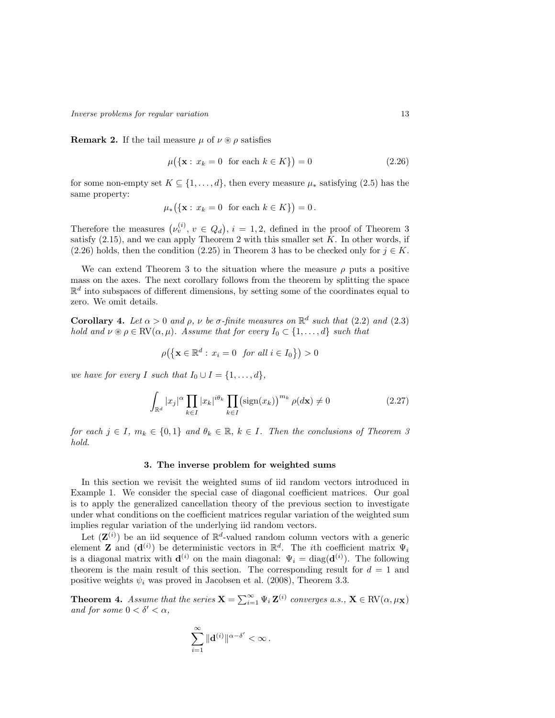Inverse problems for regular variation 13

**Remark 2.** If the tail measure  $\mu$  of  $\nu \otimes \rho$  satisfies

$$
\mu(\{\mathbf{x} : x_k = 0 \text{ for each } k \in K\}) = 0 \tag{2.26}
$$

for some non-empty set  $K \subseteq \{1, \ldots, d\}$ , then every measure  $\mu_*$  satisfying (2.5) has the same property:

$$
\mu_*({\mathbf{x}: x_k = 0 \text{ for each } k \in K}) = 0.
$$

Therefore the measures  $(\nu_v^{(i)}, v \in Q_d), i = 1, 2$ , defined in the proof of Theorem 3 satisfy  $(2.15)$ , and we can apply Theorem 2 with this smaller set K. In other words, if (2.26) holds, then the condition (2.25) in Theorem 3 has to be checked only for  $j \in K$ .

We can extend Theorem 3 to the situation where the measure  $\rho$  puts a positive mass on the axes. The next corollary follows from the theorem by splitting the space  $\mathbb{R}^d$  into subspaces of different dimensions, by setting some of the coordinates equal to zero. We omit details.

**Corollary 4.** Let  $\alpha > 0$  and  $\rho$ ,  $\nu$  be  $\sigma$ -finite measures on  $\mathbb{R}^d$  such that (2.2) and (2.3) hold and  $\nu \otimes \rho \in RV(\alpha, \mu)$ . Assume that for every  $I_0 \subset \{1, ..., d\}$  such that

$$
\rho\big(\big\{\mathbf{x}\in\mathbb{R}^d:\,x_i=0\;\;{\it for\;all}\;i\in I_0\big\}\big)>0
$$

we have for every I such that  $I_0 \cup I = \{1, \ldots, d\},\$ 

$$
\int_{\mathbb{R}^d} |x_j|^\alpha \prod_{k \in I} |x_k|^{i\theta_k} \prod_{k \in I} (\text{sign}(x_k))^{m_k} \rho(d\mathbf{x}) \neq 0 \tag{2.27}
$$

for each  $j \in I$ ,  $m_k \in \{0,1\}$  and  $\theta_k \in \mathbb{R}$ ,  $k \in I$ . Then the conclusions of Theorem 3 hold.

### 3. The inverse problem for weighted sums

In this section we revisit the weighted sums of iid random vectors introduced in Example 1. We consider the special case of diagonal coefficient matrices. Our goal is to apply the generalized cancellation theory of the previous section to investigate under what conditions on the coefficient matrices regular variation of the weighted sum implies regular variation of the underlying iid random vectors.

Let  $(\mathbf{Z}^{(i)})$  be an iid sequence of  $\mathbb{R}^d$ -valued random column vectors with a generic element **Z** and  $(\mathbf{d}^{(i)})$  be deterministic vectors in  $\mathbb{R}^d$ . The *i*th coefficient matrix  $\Psi_i$ is a diagonal matrix with  $\mathbf{d}^{(i)}$  on the main diagonal:  $\Psi_i = \text{diag}(\mathbf{d}^{(i)})$ . The following theorem is the main result of this section. The corresponding result for  $d = 1$  and positive weights  $\psi_i$  was proved in Jacobsen et al. (2008), Theorem 3.3.

**Theorem 4.** Assume that the series  $\mathbf{X} = \sum_{i=1}^{\infty} \Psi_i \mathbf{Z}^{(i)}$  converges a.s.,  $\mathbf{X} \in \text{RV}(\alpha, \mu_{\mathbf{X}})$ and for some  $0 < \delta' < \alpha$ ,

$$
\sum_{i=1}^\infty \|\mathbf{d}^{(i)}\|^{\alpha-\delta'}<\infty\,.
$$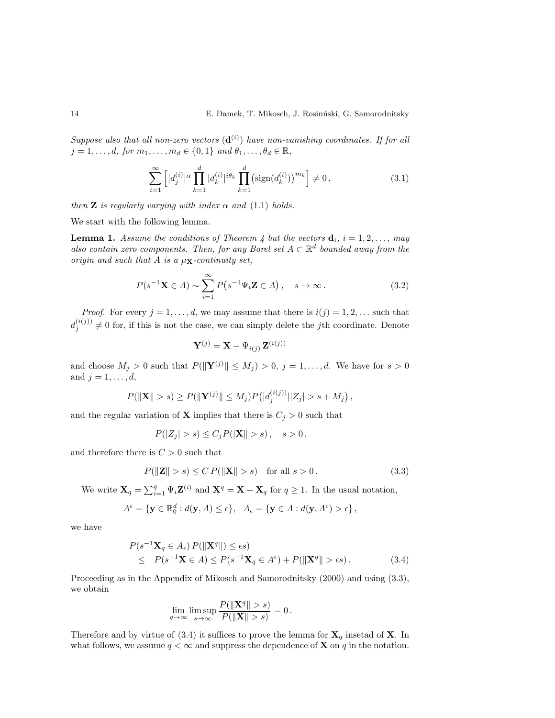Suppose also that all non-zero vectors  $(d^{(i)})$  have non-vanishing coordinates. If for all  $j = 1, \ldots, d$ , for  $m_1, \ldots, m_d \in \{0, 1\}$  and  $\theta_1, \ldots, \theta_d \in \mathbb{R}$ ,

$$
\sum_{i=1}^{\infty} \left[ |d_j^{(i)}|^\alpha \prod_{k=1}^d |d_k^{(i)}|^{i\theta_k} \prod_{k=1}^d \left(\text{sign}(d_k^{(i)})\right)^{m_k} \right] \neq 0,\tag{3.1}
$$

then **Z** is regularly varying with index  $\alpha$  and (1.1) holds.

We start with the following lemma.

**Lemma 1.** Assume the conditions of Theorem 4 but the vectors  $\mathbf{d}_i$ ,  $i = 1, 2, \ldots,$  may also contain zero components. Then, for any Borel set  $A \subset \mathbb{R}^d$  bounded away from the origin and such that A is a  $\mu_X$ -continuity set,

$$
P(s^{-1}\mathbf{X} \in A) \sim \sum_{i=1}^{\infty} P(s^{-1}\Psi_i \mathbf{Z} \in A), \quad s \to \infty.
$$
 (3.2)

*Proof.* For every  $j = 1, ..., d$ , we may assume that there is  $i(j) = 1, 2, ...$  such that  $d_j^{(i(j))} \neq 0$  for, if this is not the case, we can simply delete the jth coordinate. Denote

$$
\mathbf{Y}^{(j)} = \mathbf{X} - \Psi_{i(j)} \, \mathbf{Z}^{(i(j))}
$$

and choose  $M_j > 0$  such that  $P(||\mathbf{Y}^{(j)}|| \leq M_j) > 0$ ,  $j = 1, ..., d$ . We have for  $s > 0$ and  $j = 1, \ldots, d$ ,

$$
P(||\mathbf{X}|| > s) \ge P(||\mathbf{Y}^{(j)}|| \le M_j)P(|d_j^{(i(j))}||Z_j| > s + M_j),
$$

and the regular variation of **X** implies that there is  $C_j > 0$  such that

$$
P(|Z_j| > s) \le C_j P(|\mathbf{X}|| > s), \quad s > 0,
$$

and therefore there is  $C > 0$  such that

$$
P(||\mathbf{Z}|| > s) \le C P(||\mathbf{X}|| > s) \quad \text{for all } s > 0. \tag{3.3}
$$

We write  $\mathbf{X}_q = \sum_{i=1}^q \Psi_i \mathbf{Z}^{(i)}$  and  $\mathbf{X}^q = \mathbf{X} - \mathbf{X}_q$  for  $q \ge 1$ . In the usual notation,

$$
A^{\epsilon} = \{ \mathbf{y} \in \mathbb{R}_0^d : d(\mathbf{y}, A) \le \epsilon \}, \ \ A_{\epsilon} = \{ \mathbf{y} \in A : d(\mathbf{y}, A^c) > \epsilon \},
$$

we have

$$
P(s^{-1}\mathbf{X}_q \in A_\epsilon) P(||\mathbf{X}^q||) \le \epsilon s)
$$
  
\$\le P(s^{-1}\mathbf{X} \in A) \le P(s^{-1}\mathbf{X}\_q \in A^\epsilon) + P(||\mathbf{X}^q|| > \epsilon s).\$ (3.4)

Proceeding as in the Appendix of Mikosch and Samorodnitsky (2000) and using (3.3), we obtain

$$
\lim_{q\to\infty}\limsup_{s\to\infty}\frac{P(\|\mathbf{X}^q\|>s)}{P(\|\mathbf{X}\|>s)}=0.
$$

Therefore and by virtue of (3.4) it suffices to prove the lemma for  $X_q$  insetad of X. In what follows, we assume  $q < \infty$  and suppress the dependence of **X** on q in the notation.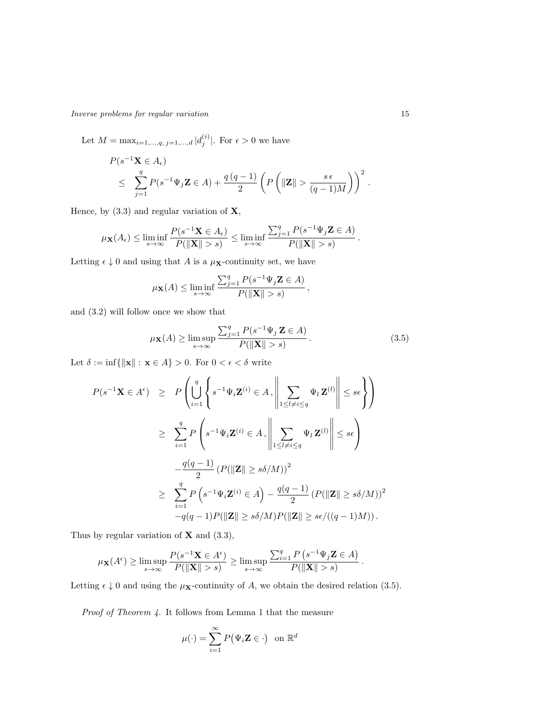Inverse problems for regular variation 15

Let  $M = \max_{i=1,...,q, j=1,...,d} |d_j^{(i)}|$ . For  $\epsilon > 0$  we have

$$
P(s^{-1}\mathbf{X} \in A_{\epsilon})
$$
  
\$\leq \sum\_{j=1}^{q} P(s^{-1}\Psi\_j \mathbf{Z} \in A) + \frac{q(q-1)}{2} \left( P\left( \|\mathbf{Z}\| > \frac{s\epsilon}{(q-1)M} \right) \right)^2\$.

Hence, by  $(3.3)$  and regular variation of  $X$ ,

$$
\mu_{\mathbf{X}}(A_{\epsilon}) \le \liminf_{s \to \infty} \frac{P(s^{-1}\mathbf{X} \in A_{\epsilon})}{P(\|\mathbf{X}\| > s)} \le \liminf_{s \to \infty} \frac{\sum_{j=1}^{q} P(s^{-1}\Psi_j \mathbf{Z} \in A)}{P(\|\mathbf{X}\| > s)}.
$$

Letting  $\epsilon \downarrow 0$  and using that A is a  $\mu$ **x**-continuity set, we have

$$
\mu_{\mathbf{X}}(A) \le \liminf_{s \to \infty} \frac{\sum_{j=1}^q P(s^{-1} \Psi_j \mathbf{Z} \in A)}{P(\|\mathbf{X}\| > s)},
$$

and (3.2) will follow once we show that

$$
\mu_{\mathbf{X}}(A) \ge \limsup_{s \to \infty} \frac{\sum_{j=1}^{q} P(s^{-1} \Psi_j \mathbf{Z} \in A)}{P(\|\mathbf{X}\| > s)}.
$$
\n(3.5)

.

Let  $\delta:=\inf\{\|\mathbf{x}\|:\,\mathbf{x}\in A\}>0.$  For  $0<\epsilon<\delta$  write

$$
P(s^{-1}\mathbf{X} \in A^{\epsilon}) \geq P\left(\bigcup_{i=1}^{q} \left\{ s^{-1}\Psi_{i}\mathbf{Z}^{(i)} \in A, \left\| \sum_{1 \leq l \neq i \leq q} \Psi_{l}\mathbf{Z}^{(l)} \right\| \leq s\epsilon \right\} \right)
$$
  

$$
\geq \sum_{i=1}^{q} P\left(s^{-1}\Psi_{i}\mathbf{Z}^{(i)} \in A, \left\| \sum_{1 \leq l \neq i \leq q} \Psi_{l}\mathbf{Z}^{(l)} \right\| \leq s\epsilon \right)
$$
  

$$
-\frac{q(q-1)}{2} \left( P(\|\mathbf{Z}\| \geq s\delta/M) \right)^{2}
$$
  

$$
\geq \sum_{i=1}^{q} P\left(s^{-1}\Psi_{i}\mathbf{Z}^{(i)} \in A\right) - \frac{q(q-1)}{2} \left( P(\|\mathbf{Z}\| \geq s\delta/M) \right)^{2}
$$
  

$$
-q(q-1)P(\|\mathbf{Z}\| \geq s\delta/M)P(\|\mathbf{Z}\| \geq s\epsilon/((q-1)M)).
$$

Thus by regular variation of  $X$  and  $(3.3)$ ,

$$
\mu_{\mathbf{X}}(A^{\epsilon}) \ge \limsup_{s \to \infty} \frac{P(s^{-1}\mathbf{X} \in A^{\epsilon})}{P(\|\mathbf{X}\| > s)} \ge \limsup_{s \to \infty} \frac{\sum_{i=1}^{q} P(s^{-1}\Psi_j \mathbf{Z} \in A)}{P(\|\mathbf{X}\| > s)}
$$

Letting  $\epsilon \downarrow 0$  and using the  $\mu_{\mathbf{X}}$ -continuity of A, we obtain the desired relation (3.5).

Proof of Theorem 4. It follows from Lemma 1 that the measure

$$
\mu(\cdot) = \sum_{i=1}^{\infty} P(\Psi_i \mathbf{Z} \in \cdot) \text{ on } \mathbb{R}^d
$$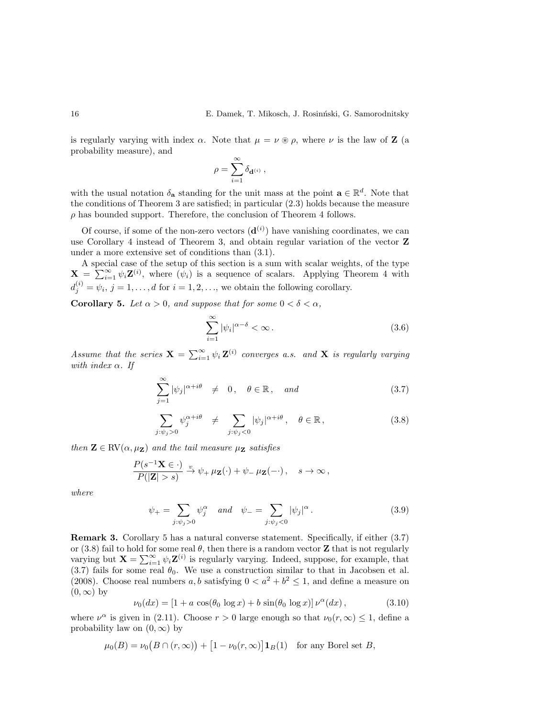is regularly varying with index  $\alpha$ . Note that  $\mu = \nu \circledast \rho$ , where  $\nu$  is the law of **Z** (a probability measure), and

$$
\rho = \sum_{i=1}^\infty \delta_{\bold{d}^{(i)}}\,,
$$

with the usual notation  $\delta_{\mathbf{a}}$  standing for the unit mass at the point  $\mathbf{a} \in \mathbb{R}^d$ . Note that the conditions of Theorem 3 are satisfied; in particular (2.3) holds because the measure  $\rho$  has bounded support. Therefore, the conclusion of Theorem 4 follows.

Of course, if some of the non-zero vectors  $(\mathbf{d}^{(i)})$  have vanishing coordinates, we can use Corollary 4 instead of Theorem 3, and obtain regular variation of the vector Z under a more extensive set of conditions than (3.1).

A special case of the setup of this section is a sum with scalar weights, of the type  $\mathbf{X} = \sum_{i=1}^{\infty} \psi_i \mathbf{Z}^{(i)}$ , where  $(\psi_i)$  is a sequence of scalars. Applying Theorem 4 with  $d_j^{(i)} = \psi_i, j = 1, \ldots, d$  for  $i = 1, 2, \ldots$ , we obtain the following corollary.

**Corollary 5.** Let  $\alpha > 0$ , and suppose that for some  $0 < \delta < \alpha$ ,

$$
\sum_{i=1}^{\infty} |\psi_i|^{\alpha-\delta} < \infty. \tag{3.6}
$$

Assume that the series  $\mathbf{X} = \sum_{i=1}^{\infty} \psi_i \mathbf{Z}^{(i)}$  converges a.s. and  $\mathbf{X}$  is regularly varying with index  $\alpha$ . If

$$
\sum_{j=1}^{\infty} |\psi_j|^{\alpha + i\theta} \neq 0, \quad \theta \in \mathbb{R}, \quad and \tag{3.7}
$$

$$
\sum_{j:\psi_j>0} \psi_j^{\alpha+i\theta} \neq \sum_{j:\psi_j<0} |\psi_j|^{\alpha+i\theta}, \quad \theta \in \mathbb{R},
$$
\n(3.8)

then  $\mathbf{Z} \in \text{RV}(\alpha, \mu_{\mathbf{Z}})$  and the tail measure  $\mu_{\mathbf{Z}}$  satisfies

$$
\frac{P(s^{-1}\mathbf{X}\in\cdot)}{P(|\mathbf{Z}|>s)}\xrightarrow{v}\psi_+\mu_{\mathbf{Z}}(\cdot)+\psi_-\mu_{\mathbf{Z}}(-\cdot),\quad s\to\infty\,,
$$

where

$$
\psi_{+} = \sum_{j:\psi_{j} > 0} \psi_{j}^{\alpha} \quad and \quad \psi_{-} = \sum_{j:\psi_{j} < 0} |\psi_{j}|^{\alpha}.
$$
 (3.9)

Remark 3. Corollary 5 has a natural converse statement. Specifically, if either (3.7) or (3.8) fail to hold for some real  $\theta$ , then there is a random vector **Z** that is not regularly varying but  $\mathbf{X} = \sum_{i=1}^{\infty} \psi_i \mathbf{Z}^{(i)}$  is regularly varying. Indeed, suppose, for example, that  $(3.7)$  fails for some real  $\theta_0$ . We use a construction similar to that in Jacobsen et al. (2008). Choose real numbers a, b satisfying  $0 < a^2 + b^2 \le 1$ , and define a measure on  $(0, \infty)$  by

$$
\nu_0(dx) = [1 + a \cos(\theta_0 \log x) + b \sin(\theta_0 \log x)] \nu^{\alpha}(dx), \qquad (3.10)
$$

where  $\nu^{\alpha}$  is given in (2.11). Choose  $r > 0$  large enough so that  $\nu_0(r, \infty) \leq 1$ , define a probability law on  $(0, \infty)$  by

$$
\mu_0(B) = \nu_0\big(B \cap (r,\infty)\big) + \big[1 - \nu_0(r,\infty)\big] \mathbf{1}_B(1) \quad \text{for any Borel set } B,
$$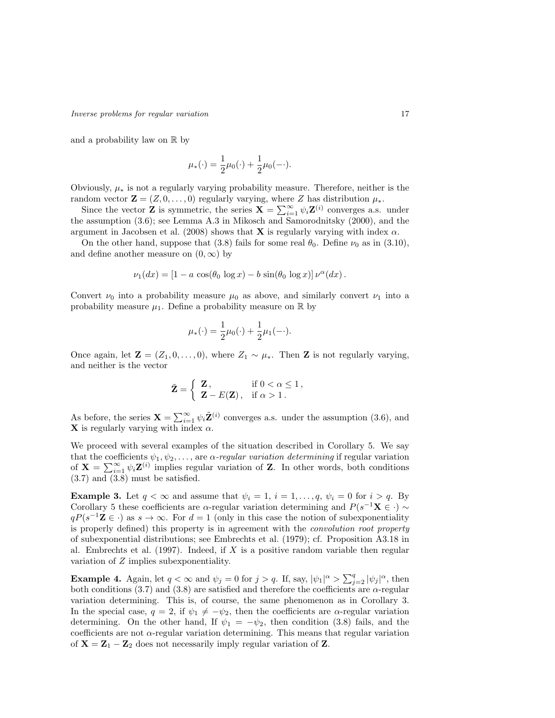and a probability law on  $\mathbb R$  by

$$
\mu_*(\cdot) = \frac{1}{2}\mu_0(\cdot) + \frac{1}{2}\mu_0(-\cdot).
$$

Obviously,  $\mu_*$  is not a regularly varying probability measure. Therefore, neither is the random vector  $\mathbf{Z} = (Z, 0, \dots, 0)$  regularly varying, where Z has distribution  $\mu_*$ .

Since the vector **Z** is symmetric, the series  $\mathbf{X} = \sum_{i=1}^{\infty} \psi_i \mathbf{Z}^{(i)}$  converges a.s. under the assumption (3.6); see Lemma A.3 in Mikosch and Samorodnitsky (2000), and the argument in Jacobsen et al. (2008) shows that **X** is regularly varying with index  $\alpha$ .

On the other hand, suppose that (3.8) fails for some real  $\theta_0$ . Define  $\nu_0$  as in (3.10), and define another measure on  $(0, \infty)$  by

$$
\nu_1(dx) = [1 - a \cos(\theta_0 \log x) - b \sin(\theta_0 \log x)] \nu^{\alpha}(dx).
$$

Convert  $\nu_0$  into a probability measure  $\mu_0$  as above, and similarly convert  $\nu_1$  into a probability measure  $\mu_1$ . Define a probability measure on R by

$$
\mu_*(\cdot) = \frac{1}{2}\mu_0(\cdot) + \frac{1}{2}\mu_1(-\cdot).
$$

Once again, let  $\mathbf{Z} = (Z_1, 0, \ldots, 0)$ , where  $Z_1 \sim \mu_*$ . Then **Z** is not regularly varying, and neither is the vector

$$
\tilde{\mathbf{Z}} = \left\{ \begin{array}{ll} \mathbf{Z}, & \text{if } 0 < \alpha \le 1, \\ \mathbf{Z} - E(\mathbf{Z}), & \text{if } \alpha > 1. \end{array} \right.
$$

As before, the series  $\mathbf{X} = \sum_{i=1}^{\infty} \psi_i \tilde{\mathbf{Z}}^{(i)}$  converges a.s. under the assumption (3.6), and **X** is regularly varying with index  $\alpha$ .

We proceed with several examples of the situation described in Corollary 5. We say that the coefficients  $\psi_1, \psi_2, \ldots$ , are  $\alpha$ -regular variation determining if regular variation of  $\mathbf{X} = \sum_{i=1}^{\infty} \psi_i \mathbf{Z}^{(i)}$  implies regular variation of Z. In other words, both conditions (3.7) and (3.8) must be satisfied.

**Example 3.** Let  $q < \infty$  and assume that  $\psi_i = 1, i = 1, \ldots, q, \psi_i = 0$  for  $i > q$ . By Corollary 5 these coefficients are  $\alpha$ -regular variation determining and  $P(s^{-1}\mathbf{X} \in \cdot) \sim$  $qP(s^{-1}\mathbf{Z} \in \cdot)$  as  $s \to \infty$ . For  $d = 1$  (only in this case the notion of subexponentiality is properly defined) this property is in agreement with the convolution root property of subexponential distributions; see Embrechts et al. (1979); cf. Proposition A3.18 in al. Embrechts et al.  $(1997)$ . Indeed, if X is a positive random variable then regular variation of Z implies subexponentiality.

**Example 4.** Again, let  $q < \infty$  and  $\psi_j = 0$  for  $j > q$ . If, say,  $|\psi_1|^{\alpha} > \sum_{j=2}^q |\psi_j|^{\alpha}$ , then both conditions (3.7) and (3.8) are satisfied and therefore the coefficients are  $\alpha$ -regular variation determining. This is, of course, the same phenomenon as in Corollary 3. In the special case,  $q = 2$ , if  $\psi_1 \neq -\psi_2$ , then the coefficients are  $\alpha$ -regular variation determining. On the other hand, If  $\psi_1 = -\psi_2$ , then condition (3.8) fails, and the coefficients are not  $\alpha$ -regular variation determining. This means that regular variation of  $X = Z_1 - Z_2$  does not necessarily imply regular variation of Z.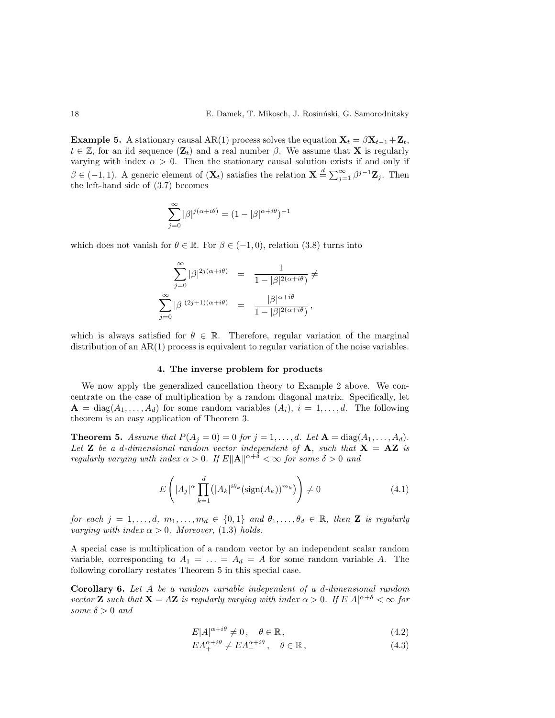**Example 5.** A stationary causal AR(1) process solves the equation  $X_t = \beta X_{t-1} + Z_t$ ,  $t \in \mathbb{Z}$ , for an iid sequence  $(\mathbf{Z}_t)$  and a real number  $\beta$ . We assume that **X** is regularly varying with index  $\alpha > 0$ . Then the stationary causal solution exists if and only if  $\beta \in (-1,1)$ . A generic element of  $(\mathbf{X}_t)$  satisfies the relation  $\mathbf{X} \stackrel{d}{=} \sum_{j=1}^{\infty} \beta^{j-1} \mathbf{Z}_j$ . Then the left-hand side of (3.7) becomes

$$
\sum_{j=0}^{\infty} |\beta|^{j(\alpha+i\theta)} = (1 - |\beta|^{\alpha+i\theta})^{-1}
$$

which does not vanish for  $\theta \in \mathbb{R}$ . For  $\beta \in (-1,0)$ , relation (3.8) turns into

$$
\sum_{j=0}^{\infty} |\beta|^{2j(\alpha+i\theta)} = \frac{1}{1-|\beta|^{2(\alpha+i\theta)}} \neq
$$
  

$$
\sum_{j=0}^{\infty} |\beta|^{(2j+1)(\alpha+i\theta)} = \frac{|\beta|^{\alpha+i\theta}}{1-|\beta|^{2(\alpha+i\theta)}},
$$

which is always satisfied for  $\theta \in \mathbb{R}$ . Therefore, regular variation of the marginal distribution of an  $AR(1)$  process is equivalent to regular variation of the noise variables.

## 4. The inverse problem for products

We now apply the generalized cancellation theory to Example 2 above. We concentrate on the case of multiplication by a random diagonal matrix. Specifically, let  $\mathbf{A} = \text{diag}(A_1, \ldots, A_d)$  for some random variables  $(A_i)$ ,  $i = 1, \ldots, d$ . The following theorem is an easy application of Theorem 3.

**Theorem 5.** Assume that  $P(A_i = 0) = 0$  for  $j = 1, ..., d$ . Let  $A = \text{diag}(A_1, ..., A_d)$ . Let **Z** be a d-dimensional random vector independent of **A**, such that  $X = AZ$  is regularly varying with index  $\alpha > 0$ . If  $E\|\mathbf{A}\|^{\alpha+\delta} < \infty$  for some  $\delta > 0$  and

$$
E\left(|A_j|^\alpha \prod_{k=1}^d (|A_k|^{i\theta_k} (\text{sign}(A_k))^{m_k})\right) \neq 0 \tag{4.1}
$$

for each  $j = 1, \ldots, d, m_1, \ldots, m_d \in \{0, 1\}$  and  $\theta_1, \ldots, \theta_d \in \mathbb{R}$ , then **Z** is regularly varying with index  $\alpha > 0$ . Moreover, (1.3) holds.

A special case is multiplication of a random vector by an independent scalar random variable, corresponding to  $A_1 = \ldots = A_d = A$  for some random variable A. The following corollary restates Theorem 5 in this special case.

Corollary 6. Let A be a random variable independent of a d-dimensional random vector **Z** such that  $X = AZ$  is regularly varying with index  $\alpha > 0$ . If  $E|A|^{\alpha+\delta} < \infty$  for some  $\delta > 0$  and

$$
E|A|^{\alpha+i\theta} \neq 0, \quad \theta \in \mathbb{R}, \tag{4.2}
$$

$$
EA_+^{\alpha+i\theta} \neq EA_-^{\alpha+i\theta}, \quad \theta \in \mathbb{R}, \tag{4.3}
$$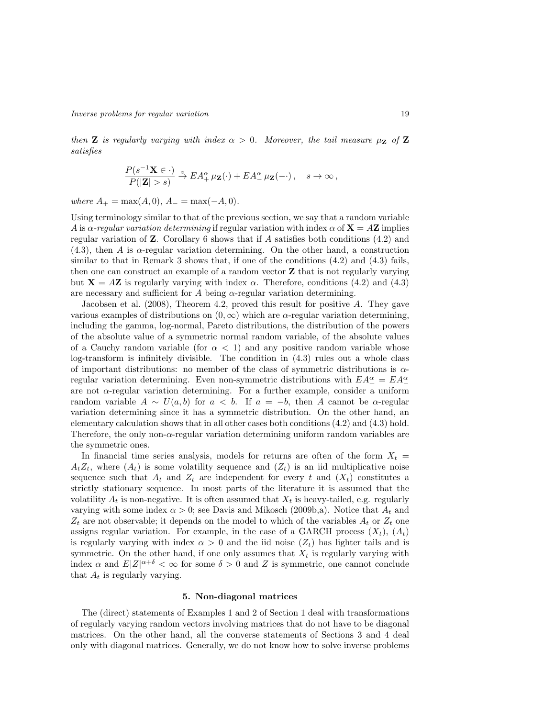then **Z** is regularly varying with index  $\alpha > 0$ . Moreover, the tail measure  $\mu_Z$  of **Z** satisfies

$$
\frac{P(s^{-1}\mathbf{X}\in\cdot)}{P(|\mathbf{Z}|>s)}\xrightarrow{v} EA_+^{\alpha} \mu_{\mathbf{Z}}(\cdot) + EA_-^{\alpha} \mu_{\mathbf{Z}}(-\cdot), \quad s \to \infty,
$$

where  $A_+ = \max(A, 0), A_- = \max(-A, 0).$ 

Using terminology similar to that of the previous section, we say that a random variable A is  $\alpha$ -regular variation determining if regular variation with index  $\alpha$  of  $\mathbf{X} = A\mathbf{Z}$  implies regular variation of  $\mathbf Z$ . Corollary 6 shows that if A satisfies both conditions (4.2) and (4.3), then A is α-regular variation determining. On the other hand, a construction similar to that in Remark 3 shows that, if one of the conditions  $(4.2)$  and  $(4.3)$  fails, then one can construct an example of a random vector Z that is not regularly varying but  $X = AZ$  is regularly varying with index  $\alpha$ . Therefore, conditions (4.2) and (4.3) are necessary and sufficient for A being  $\alpha$ -regular variation determining.

Jacobsen et al. (2008), Theorem 4.2, proved this result for positive A. They gave various examples of distributions on  $(0, \infty)$  which are  $\alpha$ -regular variation determining, including the gamma, log-normal, Pareto distributions, the distribution of the powers of the absolute value of a symmetric normal random variable, of the absolute values of a Cauchy random variable (for  $\alpha < 1$ ) and any positive random variable whose log-transform is infinitely divisible. The condition in (4.3) rules out a whole class of important distributions: no member of the class of symmetric distributions is  $\alpha$ regular variation determining. Even non-symmetric distributions with  $EA^{\alpha}_{+} = EA^{\alpha}_{-}$ are not  $\alpha$ -regular variation determining. For a further example, consider a uniform random variable  $A \sim U(a, b)$  for  $a < b$ . If  $a = -b$ , then A cannot be  $\alpha$ -regular variation determining since it has a symmetric distribution. On the other hand, an elementary calculation shows that in all other cases both conditions (4.2) and (4.3) hold. Therefore, the only non- $\alpha$ -regular variation determining uniform random variables are the symmetric ones.

In financial time series analysis, models for returns are often of the form  $X_t =$  $A_tZ_t$ , where  $(A_t)$  is some volatility sequence and  $(Z_t)$  is an iid multiplicative noise sequence such that  $A_t$  and  $Z_t$  are independent for every t and  $(X_t)$  constitutes a strictly stationary sequence. In most parts of the literature it is assumed that the volatility  $A_t$  is non-negative. It is often assumed that  $X_t$  is heavy-tailed, e.g. regularly varying with some index  $\alpha > 0$ ; see Davis and Mikosch (2009b,a). Notice that  $A_t$  and  $Z_t$  are not observable; it depends on the model to which of the variables  $A_t$  or  $Z_t$  one assigns regular variation. For example, in the case of a GARCH process  $(X_t)$ ,  $(A_t)$ is regularly varying with index  $\alpha > 0$  and the iid noise  $(Z_t)$  has lighter tails and is symmetric. On the other hand, if one only assumes that  $X_t$  is regularly varying with index  $\alpha$  and  $E|Z|^{\alpha+\delta} < \infty$  for some  $\delta > 0$  and Z is symmetric, one cannot conclude that  $A_t$  is regularly varying.

#### 5. Non-diagonal matrices

The (direct) statements of Examples 1 and 2 of Section 1 deal with transformations of regularly varying random vectors involving matrices that do not have to be diagonal matrices. On the other hand, all the converse statements of Sections 3 and 4 deal only with diagonal matrices. Generally, we do not know how to solve inverse problems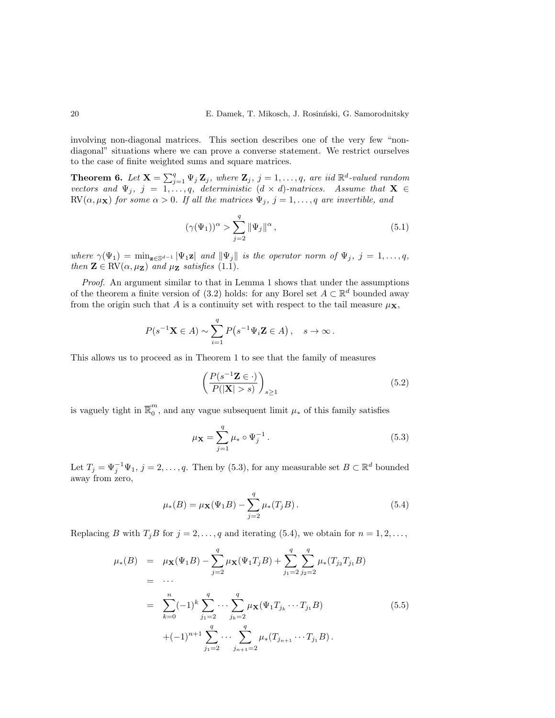involving non-diagonal matrices. This section describes one of the very few "nondiagonal" situations where we can prove a converse statement. We restrict ourselves to the case of finite weighted sums and square matrices.

**Theorem 6.** Let  $X = \sum_{j=1}^q \Psi_j Z_j$ , where  $Z_j$ ,  $j = 1, \ldots, q$ , are iid  $\mathbb{R}^d$ -valued random vectors and  $\Psi_j$ ,  $j = 1, \ldots, q$ , deterministic  $(d \times d)$ -matrices. Assume that  $X \in$ RV( $\alpha, \mu_X$ ) for some  $\alpha > 0$ . If all the matrices  $\Psi_j$ ,  $j = 1, \ldots, q$  are invertible, and

$$
(\gamma(\Psi_1))^{\alpha} > \sum_{j=2}^{q} \|\Psi_j\|^{\alpha}, \qquad (5.1)
$$

where  $\gamma(\Psi_1) = \min_{\mathbf{z} \in \mathbb{S}^{d-1}} |\Psi_1 \mathbf{z}|$  and  $\|\Psi_j\|$  is the operator norm of  $\Psi_j$ ,  $j = 1, \ldots, q$ , then  $\mathbf{Z} \in \text{RV}(\alpha, \mu_{\mathbf{Z}})$  and  $\mu_{\mathbf{Z}}$  satisfies (1.1).

Proof. An argument similar to that in Lemma 1 shows that under the assumptions of the theorem a finite version of (3.2) holds: for any Borel set  $A \subset \mathbb{R}^d$  bounded away from the origin such that A is a continuity set with respect to the tail measure  $\mu_X$ ,

$$
P(s^{-1}\mathbf{X} \in A) \sim \sum_{i=1}^{q} P(s^{-1}\Psi_i \mathbf{Z} \in A), \quad s \to \infty.
$$

This allows us to proceed as in Theorem 1 to see that the family of measures

$$
\left(\frac{P(s^{-1}\mathbf{Z}\in\cdot)}{P(|\mathbf{X}|>s)}\right)_{s\geq 1} \tag{5.2}
$$

is vaguely tight in  $\overline{\mathbb{R}}_0^m$  $\int_{0}^{\infty}$ , and any vague subsequent limit  $\mu_{*}$  of this family satisfies

$$
\mu_X = \sum_{j=1}^q \mu_* \circ \Psi_j^{-1} . \tag{5.3}
$$

Let  $T_j = \Psi_j^{-1} \Psi_1, j = 2, \ldots, q$ . Then by (5.3), for any measurable set  $B \subset \mathbb{R}^d$  bounded away from zero,

$$
\mu_*(B) = \mu_{\mathbf{X}}(\Psi_1 B) - \sum_{j=2}^q \mu_*(T_j B). \tag{5.4}
$$

Replacing B with  $T_jB$  for  $j = 2, \ldots, q$  and iterating (5.4), we obtain for  $n = 1, 2, \ldots, q$ 

$$
\mu_*(B) = \mu_{\mathbf{X}}(\Psi_1 B) - \sum_{j=2}^q \mu_{\mathbf{X}}(\Psi_1 T_j B) + \sum_{j_1=2}^q \sum_{j_2=2}^q \mu_*(T_{j_2} T_{j_1} B)
$$
  
\n
$$
= \cdots
$$
  
\n
$$
= \sum_{k=0}^n (-1)^k \sum_{j_1=2}^q \cdots \sum_{j_k=2}^q \mu_{\mathbf{X}}(\Psi_1 T_{j_k} \cdots T_{j_1} B)
$$
  
\n
$$
+ (-1)^{n+1} \sum_{j_1=2}^q \cdots \sum_{j_{n+1}=2}^q \mu_*(T_{j_{n+1}} \cdots T_{j_1} B).
$$
\n(5.5)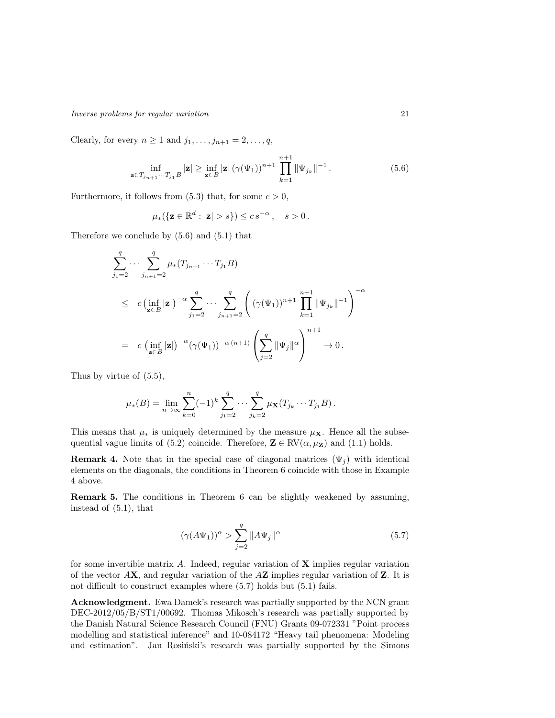Inverse problems for regular variation 21

Clearly, for every  $n \geq 1$  and  $j_1, \ldots, j_{n+1} = 2, \ldots, q$ ,

$$
\inf_{\mathbf{z}\in T_{j_{n+1}}\cdots T_{j_1}B}|\mathbf{z}|\geq \inf_{\mathbf{z}\in B}|\mathbf{z}|\,(\gamma(\Psi_1))^{n+1}\prod_{k=1}^{n+1}\|\Psi_{j_k}\|^{-1}.
$$
\n(5.6)

Furthermore, it follows from  $(5.3)$  that, for some  $c > 0$ ,

$$
\mu_*({\{\mathbf{z}\in\mathbb{R}^d:|\mathbf{z}|>s\}})\leq c\,s^{-\alpha}\,,\quad s>0\,.
$$

Therefore we conclude by (5.6) and (5.1) that

$$
\sum_{j_1=2}^q \cdots \sum_{j_{n+1}=2}^q \mu_*(T_{j_{n+1}} \cdots T_{j_1} B)
$$
\n
$$
\leq c \left( \inf_{\mathbf{z} \in B} |\mathbf{z}| \right)^{-\alpha} \sum_{j_1=2}^q \cdots \sum_{j_{n+1}=2}^q \left( (\gamma(\Psi_1))^{n+1} \prod_{k=1}^{n+1} \|\Psi_{j_k}\|^{-1} \right)^{-\alpha}
$$
\n
$$
= c \left( \inf_{\mathbf{z} \in B} |\mathbf{z}| \right)^{-\alpha} (\gamma(\Psi_1))^{-\alpha (n+1)} \left( \sum_{j=2}^q \|\Psi_j\|^\alpha \right)^{n+1} \to 0.
$$

Thus by virtue of (5.5),

$$
\mu_*(B) = \lim_{n \to \infty} \sum_{k=0}^n (-1)^k \sum_{j_1=2}^q \cdots \sum_{j_k=2}^q \mu_{\mathbf{X}}(T_{j_k} \cdots T_{j_1} B).
$$

This means that  $\mu_*$  is uniquely determined by the measure  $\mu_{\mathbf{X}}$ . Hence all the subsequential vague limits of (5.2) coincide. Therefore,  $\mathbf{Z} \in \text{RV}(\alpha, \mu_{\mathbf{Z}})$  and (1.1) holds.

**Remark 4.** Note that in the special case of diagonal matrices  $(\Psi_i)$  with identical elements on the diagonals, the conditions in Theorem 6 coincide with those in Example 4 above.

Remark 5. The conditions in Theorem 6 can be slightly weakened by assuming, instead of (5.1), that

$$
(\gamma(A\Psi_1))^{\alpha} > \sum_{j=2}^{q} \|A\Psi_j\|^{\alpha}
$$
\n(5.7)

for some invertible matrix  $A$ . Indeed, regular variation of  $X$  implies regular variation of the vector  $AX$ , and regular variation of the  $AZ$  implies regular variation of  $Z$ . It is not difficult to construct examples where  $(5.7)$  holds but  $(5.1)$  fails.

Acknowledgment. Ewa Damek's research was partially supported by the NCN grant DEC-2012/05/B/ST1/00692. Thomas Mikosch's research was partially supported by the Danish Natural Science Research Council (FNU) Grants 09-072331 "Point process modelling and statistical inference" and 10-084172 "Heavy tail phenomena: Modeling and estimation". Jan Rosinski's research was partially supported by the Simons